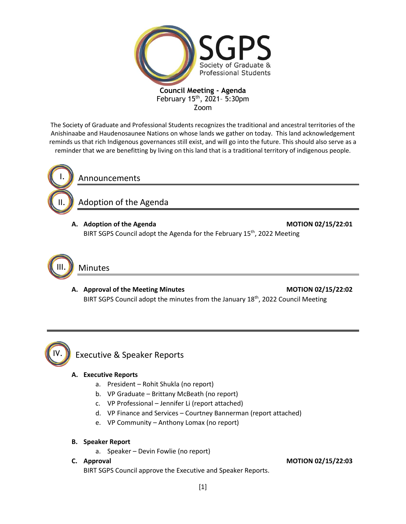

The Society of Graduate and Professional Students recognizes the traditional and ancestral territories of the Anishinaabe and Haudenosaunee Nations on whose lands we gather on today. This land acknowledgement reminds us that rich Indigenous governances still exist, and will go into the future. This should also serve as a reminder that we are benefitting by living on this land that is a traditional territory of indigenous people.



## Announcements

Adoption of the Agenda

**A. Adoption of the Agenda MOTION 02/15/22:01** BIRT SGPS Council adopt the Agenda for the February 15<sup>th</sup>, 2022 Meeting



# Minutes

A. Approval of the Meeting Minutes **MOTION 02/15/22:02** BIRT SGPS Council adopt the minutes from the January 18<sup>th</sup>, 2022 Council Meeting



# Executive & Speaker Reports

## **A. Executive Reports**

- a. President Rohit Shukla (no report)
- b. VP Graduate Brittany McBeath (no report)
- c. VP Professional Jennifer Li (report attached)
- d. VP Finance and Services Courtney Bannerman (report attached)
- e. VP Community Anthony Lomax (no report)

#### **B. Speaker Report**

- a. Speaker Devin Fowlie (no report)
- 

BIRT SGPS Council approve the Executive and Speaker Reports.

#### **C. Approval MOTION 02/15/22:03**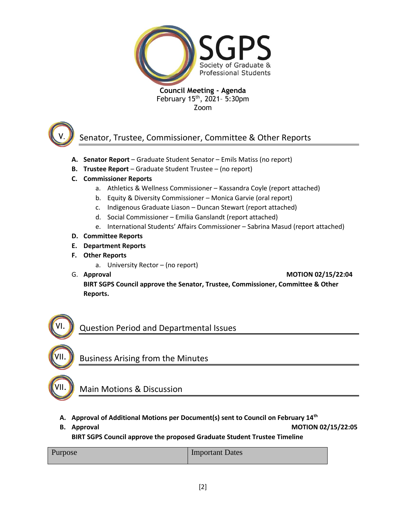



VII.

VI.

VII.

# Senator, Trustee, Commissioner, Committee & Other Reports

- **A. Senator Report** Graduate Student Senator Emils Matiss (no report)
- **B. Trustee Report** Graduate Student Trustee (no report)
- **C. Commissioner Reports**
	- a. Athletics & Wellness Commissioner Kassandra Coyle (report attached)
	- b. Equity & Diversity Commissioner Monica Garvie (oral report)
	- c. Indigenous Graduate Liason Duncan Stewart (report attached)
	- d. Social Commissioner Emilia Ganslandt (report attached)
	- e. International Students' Affairs Commissioner Sabrina Masud (report attached)
- **D. Committee Reports**
- **E. Department Reports**
- **F. Other Reports**
	- a. University Rector (no report)
- 

G. **Approval MOTION 02/15/22:04**

**BIRT SGPS Council approve the Senator, Trustee, Commissioner, Committee & Other Reports.**



Business Arising from the Minutes

Main Motions & Discussion

- **A. Approval of Additional Motions per Document(s) sent to Council on February 14th**
- **B. Approval MOTION 02/15/22:05 BIRT SGPS Council approve the proposed Graduate Student Trustee Timeline**

| Purpose | <b>Important Dates</b> |
|---------|------------------------|
|         |                        |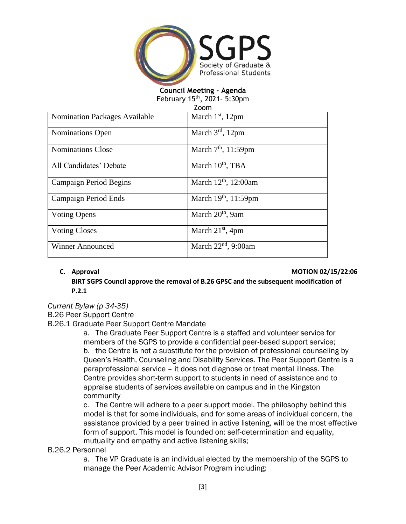

| Zoom |  |
|------|--|
|      |  |

| Nomination Packages Available | March 1 <sup>st</sup> , 12pm |
|-------------------------------|------------------------------|
| <b>Nominations Open</b>       | March $3rd$ , 12pm           |
| <b>Nominations Close</b>      | March $7th$ , 11:59pm        |
| All Candidates' Debate        | March $10th$ , TBA           |
| Campaign Period Begins        | March $12th$ , 12:00am       |
| Campaign Period Ends          | March $19th$ , 11:59pm       |
| <b>Voting Opens</b>           | March 20 <sup>th</sup> , 9am |
| <b>Voting Closes</b>          | March $21st$ , 4pm           |
| <b>Winner Announced</b>       | March $22nd$ , 9:00am        |

**C.** Approval **C. Approval** 

## **BIRT SGPS Council approve the removal of B.26 GPSC and the subsequent modification of P.2.1**

*Current Bylaw (p 34-35)*

B.26 Peer Support Centre

B.26.1 Graduate Peer Support Centre Mandate

a. The Graduate Peer Support Centre is a staffed and volunteer service for members of the SGPS to provide a confidential peer-based support service; b. the Centre is not a substitute for the provision of professional counseling by Queen's Health, Counseling and Disability Services. The Peer Support Centre is a paraprofessional service – it does not diagnose or treat mental illness. The Centre provides short-term support to students in need of assistance and to appraise students of services available on campus and in the Kingston community

c. The Centre will adhere to a peer support model. The philosophy behind this model is that for some individuals, and for some areas of individual concern, the assistance provided by a peer trained in active listening, will be the most effective form of support. This model is founded on: self-determination and equality, mutuality and empathy and active listening skills;

#### B.26.2 Personnel

a. The VP Graduate is an individual elected by the membership of the SGPS to manage the Peer Academic Advisor Program including: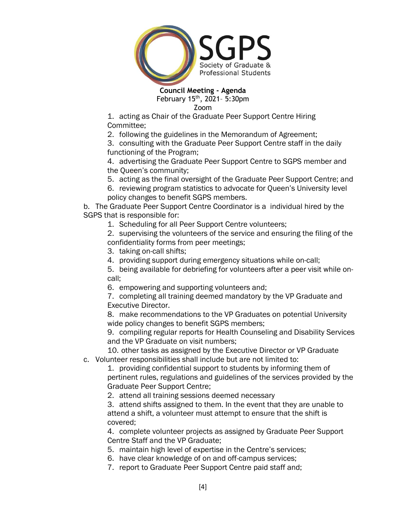

Zoom

1. acting as Chair of the Graduate Peer Support Centre Hiring Committee;

2. following the guidelines in the Memorandum of Agreement;

3. consulting with the Graduate Peer Support Centre staff in the daily functioning of the Program;

4. advertising the Graduate Peer Support Centre to SGPS member and the Queen's community;

5. acting as the final oversight of the Graduate Peer Support Centre; and

6. reviewing program statistics to advocate for Queen's University level policy changes to benefit SGPS members.

b. The Graduate Peer Support Centre Coordinator is a individual hired by the SGPS that is responsible for:

1. Scheduling for all Peer Support Centre volunteers;

2. supervising the volunteers of the service and ensuring the filing of the confidentiality forms from peer meetings;

3. taking on-call shifts;

4. providing support during emergency situations while on-call;

5. being available for debriefing for volunteers after a peer visit while oncall;

6. empowering and supporting volunteers and;

7. completing all training deemed mandatory by the VP Graduate and Executive Director.

8. make recommendations to the VP Graduates on potential University wide policy changes to benefit SGPS members;

9. compiling regular reports for Health Counseling and Disability Services and the VP Graduate on visit numbers;

10. other tasks as assigned by the Executive Director or VP Graduate c. Volunteer responsibilities shall include but are not limited to:

1. providing confidential support to students by informing them of pertinent rules, regulations and guidelines of the services provided by the Graduate Peer Support Centre;

2. attend all training sessions deemed necessary

3. attend shifts assigned to them. In the event that they are unable to attend a shift, a volunteer must attempt to ensure that the shift is covered;

4. complete volunteer projects as assigned by Graduate Peer Support Centre Staff and the VP Graduate;

- 5. maintain high level of expertise in the Centre's services;
- 6. have clear knowledge of on and off-campus services;
- 7. report to Graduate Peer Support Centre paid staff and;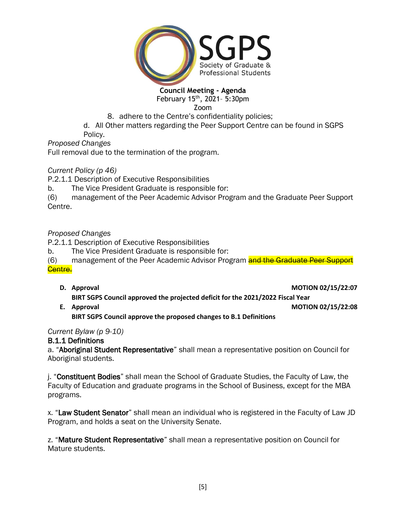

**Council Meeting - Agenda**

February 15<sup>th</sup>, 2021- 5:30pm

Zoom

- 8. adhere to the Centre's confidentiality policies;
- d. All Other matters regarding the Peer Support Centre can be found in SGPS Policy.

*Proposed Changes*

Full removal due to the termination of the program.

*Current Policy (p 46)*

P.2.1.1 Description of Executive Responsibilities

b. The Vice President Graduate is responsible for:

(6) management of the Peer Academic Advisor Program and the Graduate Peer Support Centre.

*Proposed Changes*

P.2.1.1 Description of Executive Responsibilities

b. The Vice President Graduate is responsible for:

(6) management of the Peer Academic Advisor Program and the Graduate Peer Support Centre.

- **D.** Approval **MOTION 02/15/22:07 BIRT SGPS Council approved the projected deficit for the 2021/2022 Fiscal Year**
- **E.** Approval **MOTION 02/15/22:08 BIRT SGPS Council approve the proposed changes to B.1 Definitions**

*Current Bylaw (p 9-10)*

## B.1.1 Definitions

a. "Aboriginal Student Representative" shall mean a representative position on Council for Aboriginal students.

j. "Constituent Bodies" shall mean the School of Graduate Studies, the Faculty of Law, the Faculty of Education and graduate programs in the School of Business, except for the MBA programs.

x. "Law Student Senator" shall mean an individual who is registered in the Faculty of Law JD Program, and holds a seat on the University Senate.

z. "Mature Student Representative" shall mean a representative position on Council for Mature students.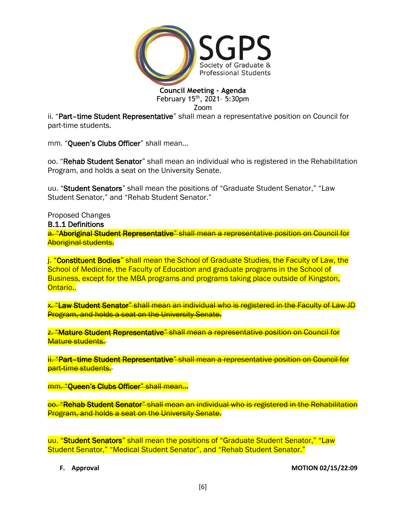

ii. "Part-time Student Representative" shall mean a representative position on Council for part-time students.

mm. "Queen's Clubs Officer" shall mean…

oo. "Rehab Student Senator" shall mean an individual who is registered in the Rehabilitation Program, and holds a seat on the University Senate.

uu. "Student Senators" shall mean the positions of "Graduate Student Senator," "Law Student Senator," and "Rehab Student Senator."

Proposed Changes

#### B.1.1 Definitions

a. "Aboriginal Student Representative" shall mean a representative position on Council for Aboriginal students.

j. "Constituent Bodies" shall mean the School of Graduate Studies, the Faculty of Law, the School of Medicine, the Faculty of Education and graduate programs in the School of Business, except for the MBA programs and programs taking place outside of Kingston, Ontario..

x. "Law Student Senator" shall mean an individual who is registered in the Faculty of Law JD **Program, and holds a seat on the University Senate.** 

z. "Mature Student Representative" shall mean a representative position on Council for Mature students.

ii. "Part-time Student Representative" shall mean a representative position on Council for part-time students.

mm. "Queen's Clubs Officer" shall mean…

oo. "Rehab Student Senator" shall mean an individual who is registered in the Rehabilitation Program, and holds a seat on the University Senate.

uu. "Student Senators" shall mean the positions of "Graduate Student Senator," "Law Student Senator," "Medical Student Senator", and "Rehab Student Senator."

**F. Approval MOTION 02/15/22:09**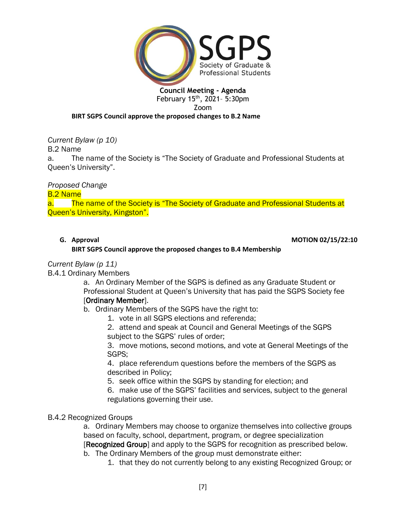

Zoom

## **BIRT SGPS Council approve the proposed changes to B.2 Name**

*Current Bylaw (p 10)*

B.2 Name

a. The name of the Society is "The Society of Graduate and Professional Students at Queen's University".

## *Proposed Change*

#### B.2 Name

a. The name of the Society is "The Society of Graduate and Professional Students at Queen's University, Kingston".

#### **G.** Approval **MOTION 02/15/22:10**

## **BIRT SGPS Council approve the proposed changes to B.4 Membership**

## *Current Bylaw (p 11)*

## B.4.1 Ordinary Members

a. An Ordinary Member of the SGPS is defined as any Graduate Student or Professional Student at Queen's University that has paid the SGPS Society fee [Ordinary Member].

## b. Ordinary Members of the SGPS have the right to:

1. vote in all SGPS elections and referenda;

2. attend and speak at Council and General Meetings of the SGPS subject to the SGPS' rules of order;

3. move motions, second motions, and vote at General Meetings of the SGPS;

4. place referendum questions before the members of the SGPS as described in Policy;

5. seek office within the SGPS by standing for election; and

6. make use of the SGPS' facilities and services, subject to the general regulations governing their use.

## B.4.2 Recognized Groups

a. Ordinary Members may choose to organize themselves into collective groups based on faculty, school, department, program, or degree specialization [Recognized Group] and apply to the SGPS for recognition as prescribed below.

b. The Ordinary Members of the group must demonstrate either:

1. that they do not currently belong to any existing Recognized Group; or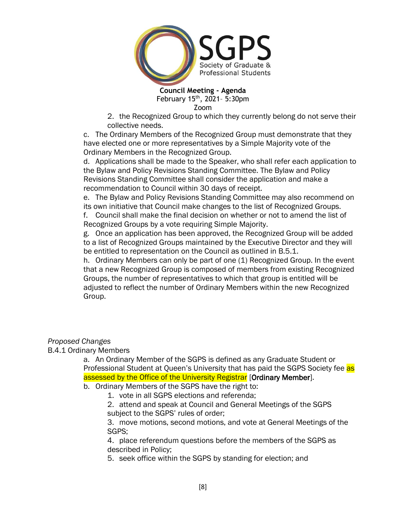

2. the Recognized Group to which they currently belong do not serve their collective needs.

c. The Ordinary Members of the Recognized Group must demonstrate that they have elected one or more representatives by a Simple Majority vote of the Ordinary Members in the Recognized Group.

d. Applications shall be made to the Speaker, who shall refer each application to the Bylaw and Policy Revisions Standing Committee. The Bylaw and Policy Revisions Standing Committee shall consider the application and make a recommendation to Council within 30 days of receipt.

e. The Bylaw and Policy Revisions Standing Committee may also recommend on its own initiative that Council make changes to the list of Recognized Groups.

f. Council shall make the final decision on whether or not to amend the list of Recognized Groups by a vote requiring Simple Majority.

g. Once an application has been approved, the Recognized Group will be added to a list of Recognized Groups maintained by the Executive Director and they will be entitled to representation on the Council as outlined in B.5.1.

h. Ordinary Members can only be part of one (1) Recognized Group. In the event that a new Recognized Group is composed of members from existing Recognized Groups, the number of representatives to which that group is entitled will be adjusted to reflect the number of Ordinary Members within the new Recognized Group.

## *Proposed Changes*

B.4.1 Ordinary Members

a. An Ordinary Member of the SGPS is defined as any Graduate Student or Professional Student at Queen's University that has paid the SGPS Society fee as assessed by the Office of the University Registrar [Ordinary Member].

b. Ordinary Members of the SGPS have the right to:

1. vote in all SGPS elections and referenda;

2. attend and speak at Council and General Meetings of the SGPS subject to the SGPS' rules of order;

3. move motions, second motions, and vote at General Meetings of the SGPS;

4. place referendum questions before the members of the SGPS as described in Policy;

5. seek office within the SGPS by standing for election; and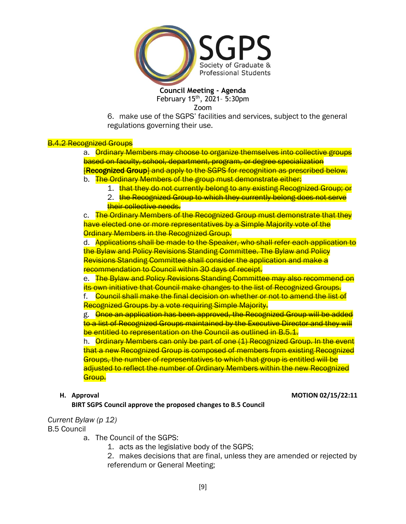

6. make use of the SGPS' facilities and services, subject to the general regulations governing their use.

#### B.4.2 Recognized Groups

a. Ordinary Members may choose to organize themselves into collective groups based on faculty, school, department, program, or degree specialization [Recognized Group] and apply to the SGPS for recognition as prescribed below.

- b. The Ordinary Members of the group must demonstrate either:
	- 1. that they do not currently belong to any existing Recognized Group; or
	- 2. the Recognized Group to which they currently belong does not serve their collective needs.

c. The Ordinary Members of the Recognized Group must demonstrate that they have elected one or more representatives by a Simple Majority vote of the **Ordinary Members in the Recognized Group.** 

d. Applications shall be made to the Speaker, who shall refer each application to the Bylaw and Policy Revisions Standing Committee. The Bylaw and Policy Revisions Standing Committee shall consider the application and make a recommendation to Council within 30 days of receipt.

e. The Bylaw and Policy Revisions Standing Committee may also recommend on its own initiative that Council make changes to the list of Recognized Groups.

f. Council shall make the final decision on whether or not to amend the list of Recognized Groups by a vote requiring Simple Majority.

g. Once an application has been approved, the Recognized Group will be added to a list of Recognized Groups maintained by the Executive Director and they will be entitled to representation on the Council as outlined in B.5.1.

h. Ordinary Members can only be part of one (1) Recognized Group. In the event that a new Recognized Group is composed of members from existing Recognized Groups, the number of representatives to which that group is entitled will be adjusted to reflect the number of Ordinary Members within the new Recognized Group.

#### **H.** Approval **MOTION 02/15/22:11**

**BIRT SGPS Council approve the proposed changes to B.5 Council**

## *Current Bylaw (p 12)*

B.5 Council

- a. The Council of the SGPS:
	- 1. acts as the legislative body of the SGPS;
	- 2. makes decisions that are final, unless they are amended or rejected by referendum or General Meeting;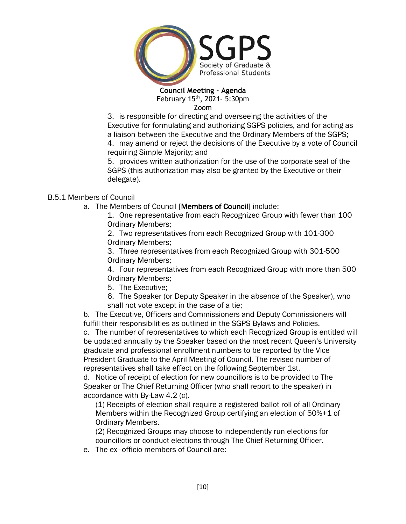

3. is responsible for directing and overseeing the activities of the Executive for formulating and authorizing SGPS policies, and for acting as a liaison between the Executive and the Ordinary Members of the SGPS; 4. may amend or reject the decisions of the Executive by a vote of Council requiring Simple Majority; and

5. provides written authorization for the use of the corporate seal of the SGPS (this authorization may also be granted by the Executive or their delegate).

## B.5.1 Members of Council

a. The Members of Council [Members of Council] include:

1. One representative from each Recognized Group with fewer than 100 Ordinary Members;

2. Two representatives from each Recognized Group with 101-300 Ordinary Members;

3. Three representatives from each Recognized Group with 301-500 Ordinary Members;

4. Four representatives from each Recognized Group with more than 500 Ordinary Members;

5. The Executive;

6. The Speaker (or Deputy Speaker in the absence of the Speaker), who shall not vote except in the case of a tie;

b. The Executive, Officers and Commissioners and Deputy Commissioners will fulfill their responsibilities as outlined in the SGPS Bylaws and Policies.

c. The number of representatives to which each Recognized Group is entitled will be updated annually by the Speaker based on the most recent Queen's University graduate and professional enrollment numbers to be reported by the Vice President Graduate to the April Meeting of Council. The revised number of representatives shall take effect on the following September 1st.

d. Notice of receipt of election for new councillors is to be provided to The Speaker or The Chief Returning Officer (who shall report to the speaker) in accordance with By-Law 4.2 (c).

(1) Receipts of election shall require a registered ballot roll of all Ordinary Members within the Recognized Group certifying an election of 50%+1 of Ordinary Members.

(2) Recognized Groups may choose to independently run elections for councillors or conduct elections through The Chief Returning Officer.

e. The ex–officio members of Council are: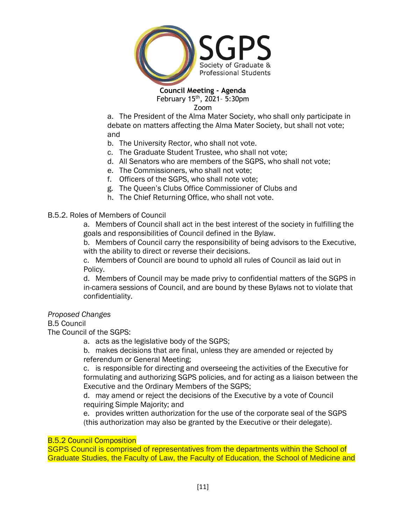

Zoom

a. The President of the Alma Mater Society, who shall only participate in debate on matters affecting the Alma Mater Society, but shall not vote; and

- b. The University Rector, who shall not vote.
- c. The Graduate Student Trustee, who shall not vote;
- d. All Senators who are members of the SGPS, who shall not vote;
- e. The Commissioners, who shall not vote;
- f. Officers of the SGPS, who shall note vote;
- g. The Queen's Clubs Office Commissioner of Clubs and
- h. The Chief Returning Office, who shall not vote.

#### B.5.2. Roles of Members of Council

a. Members of Council shall act in the best interest of the society in fulfilling the goals and responsibilities of Council defined in the Bylaw.

b. Members of Council carry the responsibility of being advisors to the Executive, with the ability to direct or reverse their decisions.

c. Members of Council are bound to uphold all rules of Council as laid out in Policy.

d. Members of Council may be made privy to confidential matters of the SGPS in in-camera sessions of Council, and are bound by these Bylaws not to violate that confidentiality.

#### *Proposed Changes*

#### B.5 Council

The Council of the SGPS:

a. acts as the legislative body of the SGPS;

b. makes decisions that are final, unless they are amended or rejected by referendum or General Meeting;

c. is responsible for directing and overseeing the activities of the Executive for formulating and authorizing SGPS policies, and for acting as a liaison between the Executive and the Ordinary Members of the SGPS;

d. may amend or reject the decisions of the Executive by a vote of Council requiring Simple Majority; and

e. provides written authorization for the use of the corporate seal of the SGPS (this authorization may also be granted by the Executive or their delegate).

#### B.5.2 Council Composition

SGPS Council is comprised of representatives from the departments within the School of Graduate Studies, the Faculty of Law, the Faculty of Education, the School of Medicine and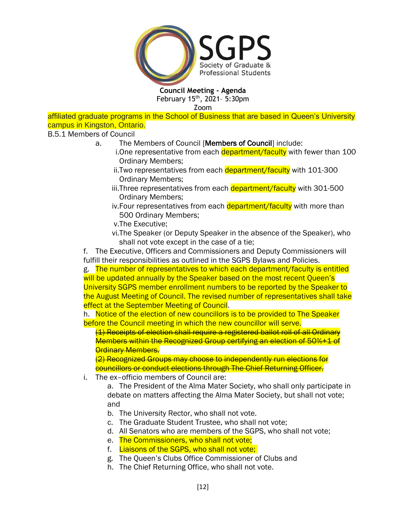

Zoom

affiliated graduate programs in the School of Business that are based in Queen's University campus in Kingston, Ontario.

## B.5.1 Members of Council

- a. The Members of Council [Members of Council] include:
	- i. One representative from each department/faculty with fewer than 100 Ordinary Members;
	- ii.Two representatives from each department/faculty with 101-300 Ordinary Members;
	- iii.Three representatives from each department/faculty with 301-500 Ordinary Members;
	- iv. Four representatives from each **department/faculty** with more than 500 Ordinary Members;
	- v.The Executive;
	- vi.The Speaker (or Deputy Speaker in the absence of the Speaker), who shall not vote except in the case of a tie;

f. The Executive, Officers and Commissioners and Deputy Commissioners will fulfill their responsibilities as outlined in the SGPS Bylaws and Policies.

g. The number of representatives to which each department/faculty is entitled will be updated annually by the Speaker based on the most recent Queen's University SGPS member enrollment numbers to be reported by the Speaker to the August Meeting of Council. The revised number of representatives shall take effect at the September Meeting of Council.

h. Notice of the election of new councillors is to be provided to The Speaker before the Council meeting in which the new councillor will serve.

(1) Receipts of election shall require a registered ballot roll of all Ordinary Members within the Recognized Group certifying an election of 50%+1 of **Ordinary Members.** 

(2) Recognized Groups may choose to independently run elections for councillors or conduct elections through The Chief Returning Officer.

i. The ex–officio members of Council are:

a. The President of the Alma Mater Society, who shall only participate in debate on matters affecting the Alma Mater Society, but shall not vote; and

- b. The University Rector, who shall not vote.
- c. The Graduate Student Trustee, who shall not vote;
- d. All Senators who are members of the SGPS, who shall not vote;
- e. The Commissioners, who shall not vote;
- f. Liaisons of the SGPS, who shall not vote;
- g. The Queen's Clubs Office Commissioner of Clubs and
- h. The Chief Returning Office, who shall not vote.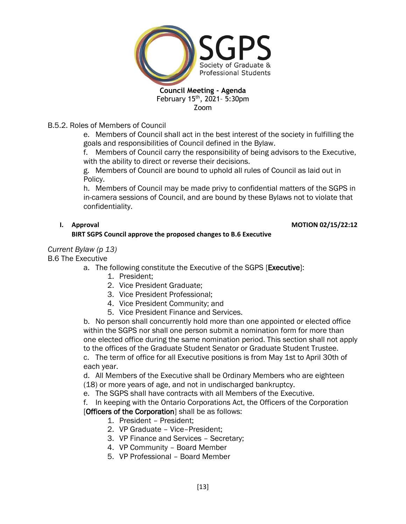

B.5.2. Roles of Members of Council

e. Members of Council shall act in the best interest of the society in fulfilling the goals and responsibilities of Council defined in the Bylaw.

f. Members of Council carry the responsibility of being advisors to the Executive, with the ability to direct or reverse their decisions.

g. Members of Council are bound to uphold all rules of Council as laid out in Policy.

h. Members of Council may be made privy to confidential matters of the SGPS in in-camera sessions of Council, and are bound by these Bylaws not to violate that confidentiality.

## **I. Approval MOTION 02/15/22:12**

## **BIRT SGPS Council approve the proposed changes to B.6 Executive**

*Current Bylaw (p 13)*

B.6 The Executive

- a. The following constitute the Executive of the SGPS [Executive]:
	- 1. President;
	- 2. Vice President Graduate;
	- 3. Vice President Professional;
	- 4. Vice President Community; and
	- 5. Vice President Finance and Services.

b. No person shall concurrently hold more than one appointed or elected office within the SGPS nor shall one person submit a nomination form for more than one elected office during the same nomination period. This section shall not apply to the offices of the Graduate Student Senator or Graduate Student Trustee.

c. The term of office for all Executive positions is from May 1st to April 30th of each year.

d. All Members of the Executive shall be Ordinary Members who are eighteen (18) or more years of age, and not in undischarged bankruptcy.

e. The SGPS shall have contracts with all Members of the Executive.

f. In keeping with the Ontario Corporations Act, the Officers of the Corporation

## [Officers of the Corporation] shall be as follows:

- 1. President President;
- 2. VP Graduate Vice–President;
- 3. VP Finance and Services Secretary;
- 4. VP Community Board Member
- 5. VP Professional Board Member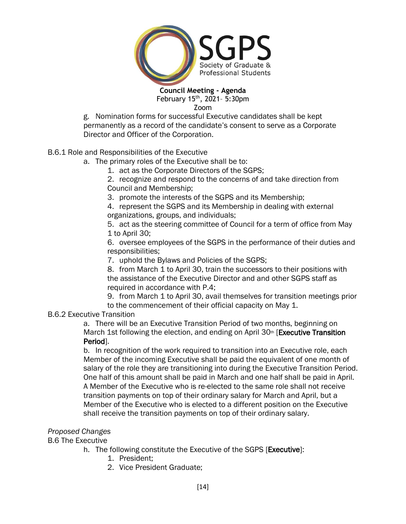

g. Nomination forms for successful Executive candidates shall be kept permanently as a record of the candidate's consent to serve as a Corporate Director and Officer of the Corporation.

B.6.1 Role and Responsibilities of the Executive

- a. The primary roles of the Executive shall be to:
	- 1. act as the Corporate Directors of the SGPS;

2. recognize and respond to the concerns of and take direction from Council and Membership;

3. promote the interests of the SGPS and its Membership;

4. represent the SGPS and its Membership in dealing with external organizations, groups, and individuals;

5. act as the steering committee of Council for a term of office from May 1 to April 30;

6. oversee employees of the SGPS in the performance of their duties and responsibilities;

7. uphold the Bylaws and Policies of the SGPS;

8. from March 1 to April 30, train the successors to their positions with the assistance of the Executive Director and and other SGPS staff as required in accordance with P.4;

9. from March 1 to April 30, avail themselves for transition meetings prior to the commencement of their official capacity on May 1.

B.6.2 Executive Transition

a. There will be an Executive Transition Period of two months, beginning on March 1st following the election, and ending on April 30<sup>th</sup> [Executive Transition] Period].

b. In recognition of the work required to transition into an Executive role, each Member of the incoming Executive shall be paid the equivalent of one month of salary of the role they are transitioning into during the Executive Transition Period. One half of this amount shall be paid in March and one half shall be paid in April. A Member of the Executive who is re-elected to the same role shall not receive transition payments on top of their ordinary salary for March and April, but a Member of the Executive who is elected to a different position on the Executive shall receive the transition payments on top of their ordinary salary.

## *Proposed Changes*

B.6 The Executive

- h. The following constitute the Executive of the SGPS [Executive]:
	- 1. President;
	- 2. Vice President Graduate;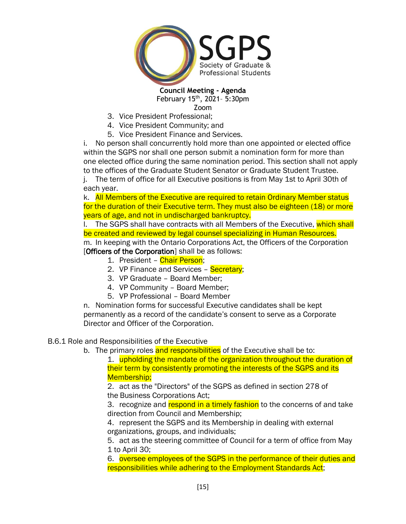

- Zoom
- 3. Vice President Professional;
- 4. Vice President Community; and
- 5. Vice President Finance and Services.

i. No person shall concurrently hold more than one appointed or elected office within the SGPS nor shall one person submit a nomination form for more than one elected office during the same nomination period. This section shall not apply to the offices of the Graduate Student Senator or Graduate Student Trustee.

j. The term of office for all Executive positions is from May 1st to April 30th of each year.

k. All Members of the Executive are required to retain Ordinary Member status for the duration of their Executive term. They must also be eighteen (18) or more years of age, and not in undischarged bankruptcy.

I. The SGPS shall have contracts with all Members of the Executive, which shall be created and reviewed by legal counsel specializing in Human Resources.

m. In keeping with the Ontario Corporations Act, the Officers of the Corporation [Officers of the Corporation] shall be as follows:

- 1. President Chair Person;
- 2. VP Finance and Services Secretary;
- 3. VP Graduate Board Member;
- 4. VP Community Board Member;
- 5. VP Professional Board Member

n. Nomination forms for successful Executive candidates shall be kept permanently as a record of the candidate's consent to serve as a Corporate Director and Officer of the Corporation.

#### B.6.1 Role and Responsibilities of the Executive

b. The primary roles and responsibilities of the Executive shall be to:

1. upholding the mandate of the organization throughout the duration of their term by consistently promoting the interests of the SGPS and its Membership;

2. act as the "Directors" of the SGPS as defined in section 278 of the Business Corporations Act;

3. recognize and respond in a timely fashion to the concerns of and take direction from Council and Membership;

4. represent the SGPS and its Membership in dealing with external organizations, groups, and individuals;

5. act as the steering committee of Council for a term of office from May 1 to April 30;

6. oversee employees of the SGPS in the performance of their duties and responsibilities while adhering to the Employment Standards Act;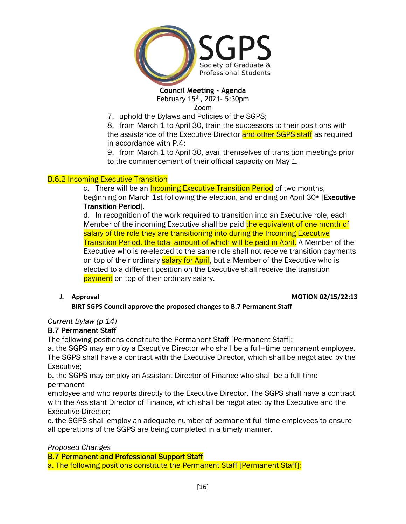

Zoom

7. uphold the Bylaws and Policies of the SGPS;

8. from March 1 to April 30, train the successors to their positions with the assistance of the Executive Director and other SGPS staff as required in accordance with P.4;

9. from March 1 to April 30, avail themselves of transition meetings prior to the commencement of their official capacity on May 1.

## B.6.2 Incoming Executive Transition

c. There will be an **Incoming Executive Transition Period** of two months, beginning on March 1st following the election, and ending on April 30<sup>th</sup> [Executive Transition Period].

d. In recognition of the work required to transition into an Executive role, each Member of the incoming Executive shall be paid the equivalent of one month of salary of the role they are transitioning into during the Incoming Executive Transition Period, the total amount of which will be paid in April. A Member of the Executive who is re-elected to the same role shall not receive transition payments on top of their ordinary **salary for April**, but a Member of the Executive who is elected to a different position on the Executive shall receive the transition payment on top of their ordinary salary.

#### **J. Approval MOTION 02/15/22:13**

## **BIRT SGPS Council approve the proposed changes to B.7 Permanent Staff**

*Current Bylaw (p 14)*

## B.7 Permanent Staff

The following positions constitute the Permanent Staff [Permanent Staff]:

a. the SGPS may employ a Executive Director who shall be a full–time permanent employee. The SGPS shall have a contract with the Executive Director, which shall be negotiated by the Executive;

b. the SGPS may employ an Assistant Director of Finance who shall be a full-time permanent

employee and who reports directly to the Executive Director. The SGPS shall have a contract with the Assistant Director of Finance, which shall be negotiated by the Executive and the Executive Director;

c. the SGPS shall employ an adequate number of permanent full-time employees to ensure all operations of the SGPS are being completed in a timely manner.

*Proposed Changes*

B.7 Permanent and Professional Support Staff

a. The following positions constitute the Permanent Staff [Permanent Staff]: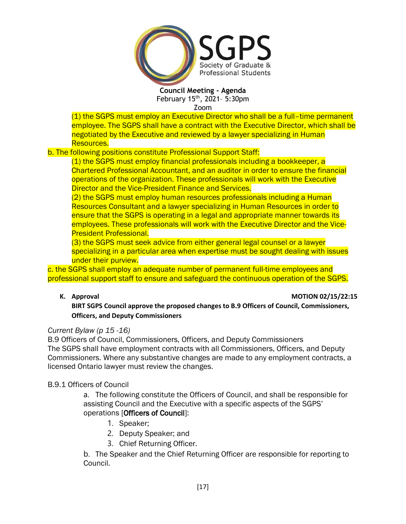

Zoom

(1) the SGPS must employ an Executive Director who shall be a full–time permanent employee. The SGPS shall have a contract with the Executive Director, which shall be negotiated by the Executive and reviewed by a lawyer specializing in Human Resources.

b. The following positions constitute Professional Support Staff:

(1) the SGPS must employ financial professionals including a bookkeeper, a Chartered Professional Accountant, and an auditor in order to ensure the financial operations of the organization. These professionals will work with the Executive Director and the Vice-President Finance and Services.

(2) the SGPS must employ human resources professionals including a Human Resources Consultant and a lawyer specializing in Human Resources in order to ensure that the SGPS is operating in a legal and appropriate manner towards its employees. These professionals will work with the Executive Director and the Vice-President Professional.

(3) the SGPS must seek advice from either general legal counsel or a lawyer specializing in a particular area when expertise must be sought dealing with issues under their purview.

c. the SGPS shall employ an adequate number of permanent full-time employees and professional support staff to ensure and safeguard the continuous operation of the SGPS.

## **K.** Approval **MOTION 02/15/22:15**

**BIRT SGPS Council approve the proposed changes to B.9 Officers of Council, Commissioners, Officers, and Deputy Commissioners**

## *Current Bylaw (p 15 -16)*

B.9 Officers of Council, Commissioners, Officers, and Deputy Commissioners The SGPS shall have employment contracts with all Commissioners, Officers, and Deputy Commissioners. Where any substantive changes are made to any employment contracts, a licensed Ontario lawyer must review the changes.

## B.9.1 Officers of Council

a. The following constitute the Officers of Council, and shall be responsible for assisting Council and the Executive with a specific aspects of the SGPS' operations [Officers of Council]:

- 1. Speaker;
- 2. Deputy Speaker; and
- 3. Chief Returning Officer.

b. The Speaker and the Chief Returning Officer are responsible for reporting to Council.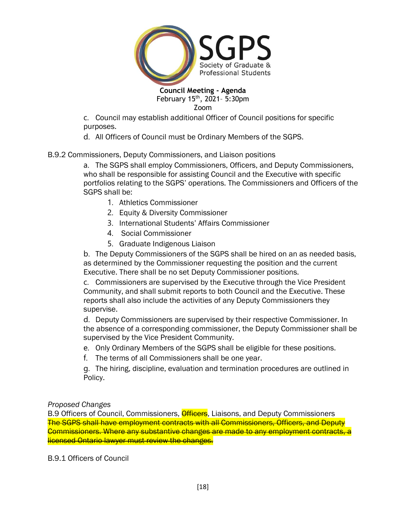

Zoom

c. Council may establish additional Officer of Council positions for specific purposes.

d. All Officers of Council must be Ordinary Members of the SGPS.

B.9.2 Commissioners, Deputy Commissioners, and Liaison positions

a. The SGPS shall employ Commissioners, Officers, and Deputy Commissioners, who shall be responsible for assisting Council and the Executive with specific portfolios relating to the SGPS' operations. The Commissioners and Officers of the SGPS shall be:

- 1. Athletics Commissioner
- 2. Equity & Diversity Commissioner
- 3. International Students' Affairs Commissioner
- 4. Social Commissioner
- 5. Graduate Indigenous Liaison

b. The Deputy Commissioners of the SGPS shall be hired on an as needed basis, as determined by the Commissioner requesting the position and the current Executive. There shall be no set Deputy Commissioner positions.

c. Commissioners are supervised by the Executive through the Vice President Community, and shall submit reports to both Council and the Executive. These reports shall also include the activities of any Deputy Commissioners they supervise.

d. Deputy Commissioners are supervised by their respective Commissioner. In the absence of a corresponding commissioner, the Deputy Commissioner shall be supervised by the Vice President Community.

- e. Only Ordinary Members of the SGPS shall be eligible for these positions.
- f. The terms of all Commissioners shall be one year.

g. The hiring, discipline, evaluation and termination procedures are outlined in Policy.

## *Proposed Changes*

B.9 Officers of Council, Commissioners, **Officers**, Liaisons, and Deputy Commissioners The SGPS shall have employment contracts with all Commissioners, Officers, and Deputy Commissioners. Where any substantive changes are made to any employment contracts, a licensed Ontario lawyer must review the changes.

B.9.1 Officers of Council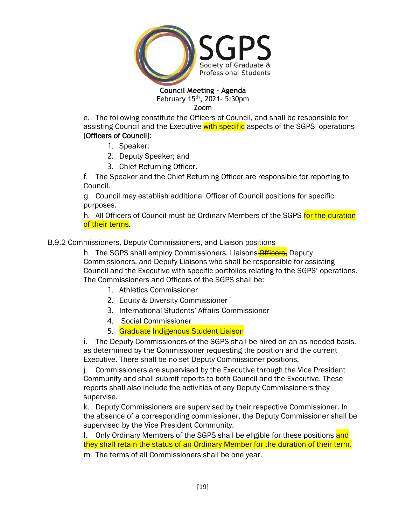

Zoom

e. The following constitute the Officers of Council, and shall be responsible for assisting Council and the Executive with specific aspects of the SGPS' operations [Officers of Council]:

- 1. Speaker;
- 2. Deputy Speaker; and
- 3. Chief Returning Officer.

f. The Speaker and the Chief Returning Officer are responsible for reporting to Council.

g. Council may establish additional Officer of Council positions for specific purposes.

h. All Officers of Council must be Ordinary Members of the SGPS for the duration of their terms.

## B.9.2 Commissioners, Deputy Commissioners, and Liaison positions

h. The SGPS shall employ Commissioners, Liaisons Officers, Deputy Commissioners, and Deputy Liaisons who shall be responsible for assisting Council and the Executive with specific portfolios relating to the SGPS' operations. The Commissioners and Officers of the SGPS shall be:

- 1. Athletics Commissioner
- 2. Equity & Diversity Commissioner
- 3. International Students' Affairs Commissioner
- 4. Social Commissioner
- 5. Graduate Indigenous Student Liaison

i. The Deputy Commissioners of the SGPS shall be hired on an as-needed basis, as determined by the Commissioner requesting the position and the current Executive. There shall be no set Deputy Commissioner positions.

j. Commissioners are supervised by the Executive through the Vice President Community and shall submit reports to both Council and the Executive. These reports shall also include the activities of any Deputy Commissioners they supervise.

k. Deputy Commissioners are supervised by their respective Commissioner. In the absence of a corresponding commissioner, the Deputy Commissioner shall be supervised by the Vice President Community.

l. Only Ordinary Members of the SGPS shall be eligible for these positions and they shall retain the status of an Ordinary Member for the duration of their term.

m. The terms of all Commissioners shall be one year.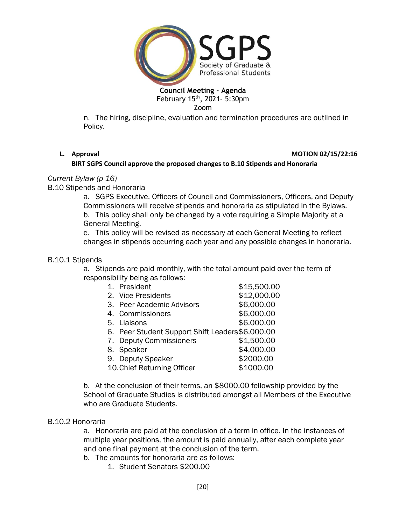

n. The hiring, discipline, evaluation and termination procedures are outlined in Policy.

#### **L. Approval MOTION 02/15/22:16**

## **BIRT SGPS Council approve the proposed changes to B.10 Stipends and Honoraria**

#### *Current Bylaw (p 16)*

B.10 Stipends and Honoraria

a. SGPS Executive, Officers of Council and Commissioners, Officers, and Deputy Commissioners will receive stipends and honoraria as stipulated in the Bylaws.

b. This policy shall only be changed by a vote requiring a Simple Majority at a General Meeting.

c. This policy will be revised as necessary at each General Meeting to reflect changes in stipends occurring each year and any possible changes in honoraria.

#### B.10.1 Stipends

a. Stipends are paid monthly, with the total amount paid over the term of responsibility being as follows:

| 1. President                                     | \$15,500.00 |
|--------------------------------------------------|-------------|
| 2. Vice Presidents                               | \$12,000.00 |
| 3. Peer Academic Advisors                        | \$6,000.00  |
| 4. Commissioners                                 | \$6,000.00  |
| 5. Liaisons                                      | \$6,000.00  |
| 6. Peer Student Support Shift Leaders \$6,000.00 |             |
| 7. Deputy Commissioners                          | \$1,500.00  |
| 8. Speaker                                       | \$4,000.00  |
| 9. Deputy Speaker                                | \$2000.00   |
| 10. Chief Returning Officer                      | \$1000.00   |
|                                                  |             |

b. At the conclusion of their terms, an \$8000.00 fellowship provided by the School of Graduate Studies is distributed amongst all Members of the Executive who are Graduate Students.

## B.10.2 Honoraria

a. Honoraria are paid at the conclusion of a term in office. In the instances of multiple year positions, the amount is paid annually, after each complete year and one final payment at the conclusion of the term.

b. The amounts for honoraria are as follows:

1. Student Senators \$200.00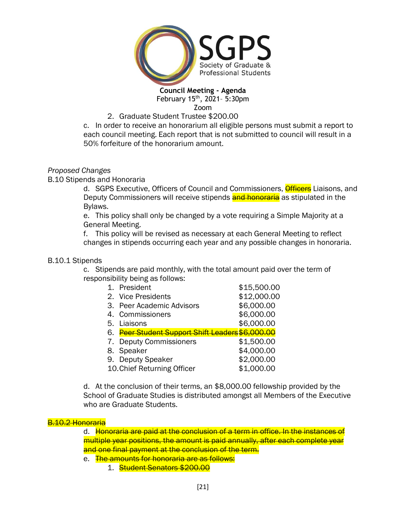

Zoom

## 2. Graduate Student Trustee \$200.00

c. In order to receive an honorarium all eligible persons must submit a report to each council meeting. Each report that is not submitted to council will result in a 50% forfeiture of the honorarium amount.

## *Proposed Changes*

B.10 Stipends and Honoraria

d. SGPS Executive, Officers of Council and Commissioners, **Officers** Liaisons, and Deputy Commissioners will receive stipends **and honoraria** as stipulated in the Bylaws.

e. This policy shall only be changed by a vote requiring a Simple Majority at a General Meeting.

f. This policy will be revised as necessary at each General Meeting to reflect changes in stipends occurring each year and any possible changes in honoraria.

#### B.10.1 Stipends

c. Stipends are paid monthly, with the total amount paid over the term of responsibility being as follows:

| 1. President                                     | \$15,500.00 |
|--------------------------------------------------|-------------|
| 2. Vice Presidents                               | \$12,000.00 |
| 3. Peer Academic Advisors                        | \$6,000.00  |
| 4. Commissioners                                 | \$6,000.00  |
| 5. Liaisons                                      | \$6,000.00  |
| 6. Peer Student Support Shift Leaders \$6,000.00 |             |
| 7. Deputy Commissioners                          | \$1,500.00  |
| 8. Speaker                                       | \$4,000.00  |
| 9. Deputy Speaker                                | \$2,000.00  |
| 10. Chief Returning Officer                      | \$1,000.00  |

d. At the conclusion of their terms, an \$8,000.00 fellowship provided by the School of Graduate Studies is distributed amongst all Members of the Executive who are Graduate Students.

#### B.10.2 Honoraria

d. Honoraria are paid at the conclusion of a term in office. In the instances of multiple year positions, the amount is paid annually, after each complete year and one final payment at the conclusion of the term.

- e. The amounts for honoraria are as follows:
	- 1. Student Senators \$200.00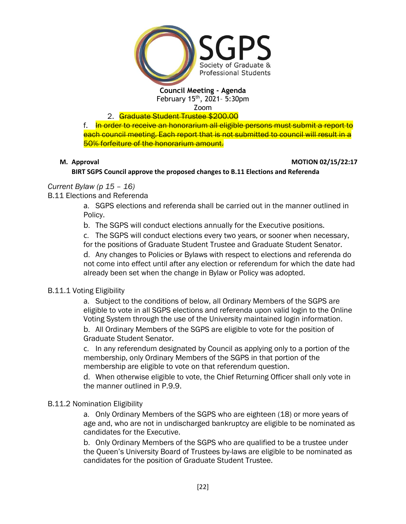

2. Graduate Student Trustee \$200.00

f. In order to receive an honorarium all eligible persons must submit a report to each council meeting. Each report that is not submitted to council will result in a 50% forfeiture of the honorarium amount.

#### **M.** Approval **MOTION 02/15/22:17**

**BIRT SGPS Council approve the proposed changes to B.11 Elections and Referenda**

## *Current Bylaw (p 15 – 16)*

B.11 Elections and Referenda

a. SGPS elections and referenda shall be carried out in the manner outlined in Policy.

b. The SGPS will conduct elections annually for the Executive positions.

c. The SGPS will conduct elections every two years, or sooner when necessary, for the positions of Graduate Student Trustee and Graduate Student Senator.

d. Any changes to Policies or Bylaws with respect to elections and referenda do not come into effect until after any election or referendum for which the date had already been set when the change in Bylaw or Policy was adopted.

## B.11.1 Voting Eligibility

a. Subject to the conditions of below, all Ordinary Members of the SGPS are eligible to vote in all SGPS elections and referenda upon valid login to the Online Voting System through the use of the University maintained login information.

b. All Ordinary Members of the SGPS are eligible to vote for the position of Graduate Student Senator.

c. In any referendum designated by Council as applying only to a portion of the membership, only Ordinary Members of the SGPS in that portion of the membership are eligible to vote on that referendum question.

d. When otherwise eligible to vote, the Chief Returning Officer shall only vote in the manner outlined in P.9.9.

## B.11.2 Nomination Eligibility

a. Only Ordinary Members of the SGPS who are eighteen (18) or more years of age and, who are not in undischarged bankruptcy are eligible to be nominated as candidates for the Executive.

b. Only Ordinary Members of the SGPS who are qualified to be a trustee under the Queen's University Board of Trustees by-laws are eligible to be nominated as candidates for the position of Graduate Student Trustee.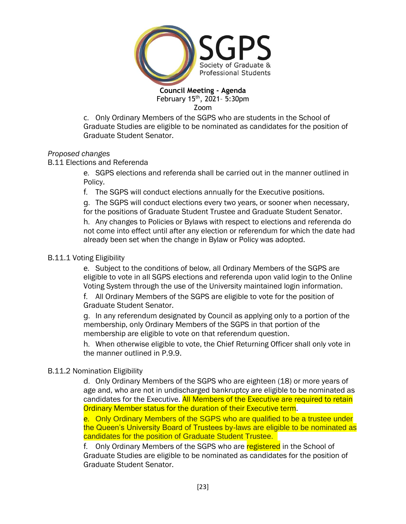

c. Only Ordinary Members of the SGPS who are students in the School of Graduate Studies are eligible to be nominated as candidates for the position of Graduate Student Senator.

#### *Proposed changes*

#### B.11 Elections and Referenda

e. SGPS elections and referenda shall be carried out in the manner outlined in Policy.

f. The SGPS will conduct elections annually for the Executive positions.

g. The SGPS will conduct elections every two years, or sooner when necessary, for the positions of Graduate Student Trustee and Graduate Student Senator.

h. Any changes to Policies or Bylaws with respect to elections and referenda do not come into effect until after any election or referendum for which the date had already been set when the change in Bylaw or Policy was adopted.

#### B.11.1 Voting Eligibility

e. Subject to the conditions of below, all Ordinary Members of the SGPS are eligible to vote in all SGPS elections and referenda upon valid login to the Online Voting System through the use of the University maintained login information.

f. All Ordinary Members of the SGPS are eligible to vote for the position of Graduate Student Senator.

g. In any referendum designated by Council as applying only to a portion of the membership, only Ordinary Members of the SGPS in that portion of the membership are eligible to vote on that referendum question.

h. When otherwise eligible to vote, the Chief Returning Officer shall only vote in the manner outlined in P.9.9.

## B.11.2 Nomination Eligibility

d. Only Ordinary Members of the SGPS who are eighteen (18) or more years of age and, who are not in undischarged bankruptcy are eligible to be nominated as candidates for the Executive. All Members of the Executive are required to retain Ordinary Member status for the duration of their Executive term.

e. Only Ordinary Members of the SGPS who are qualified to be a trustee under the Queen's University Board of Trustees by-laws are eligible to be nominated as candidates for the position of Graduate Student Trustee.

f. Only Ordinary Members of the SGPS who are registered in the School of Graduate Studies are eligible to be nominated as candidates for the position of Graduate Student Senator.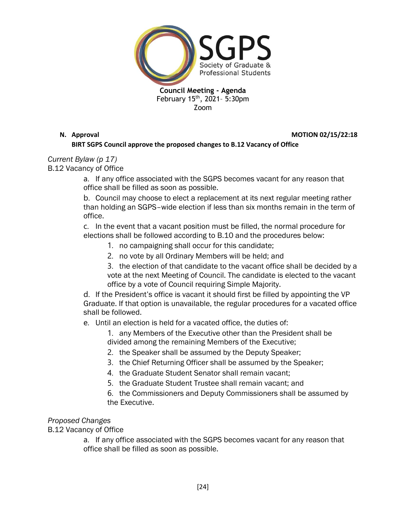

#### **N.** Approval **MOTION 02/15/22:18 BIRT SGPS Council approve the proposed changes to B.12 Vacancy of Office**

*Current Bylaw (p 17)*

B.12 Vacancy of Office

a. If any office associated with the SGPS becomes vacant for any reason that office shall be filled as soon as possible.

b. Council may choose to elect a replacement at its next regular meeting rather than holding an SGPS–wide election if less than six months remain in the term of office.

c. In the event that a vacant position must be filled, the normal procedure for elections shall be followed according to B.10 and the procedures below:

- 1. no campaigning shall occur for this candidate;
- 2. no vote by all Ordinary Members will be held; and
- 3. the election of that candidate to the vacant office shall be decided by a vote at the next Meeting of Council. The candidate is elected to the vacant office by a vote of Council requiring Simple Majority.

d. If the President's office is vacant it should first be filled by appointing the VP Graduate. If that option is unavailable, the regular procedures for a vacated office shall be followed.

e. Until an election is held for a vacated office, the duties of:

1. any Members of the Executive other than the President shall be divided among the remaining Members of the Executive;

- 2. the Speaker shall be assumed by the Deputy Speaker;
- 3. the Chief Returning Officer shall be assumed by the Speaker;
- 4. the Graduate Student Senator shall remain vacant;
- 5. the Graduate Student Trustee shall remain vacant; and

6. the Commissioners and Deputy Commissioners shall be assumed by the Executive.

## *Proposed Changes*

B.12 Vacancy of Office

a. If any office associated with the SGPS becomes vacant for any reason that office shall be filled as soon as possible.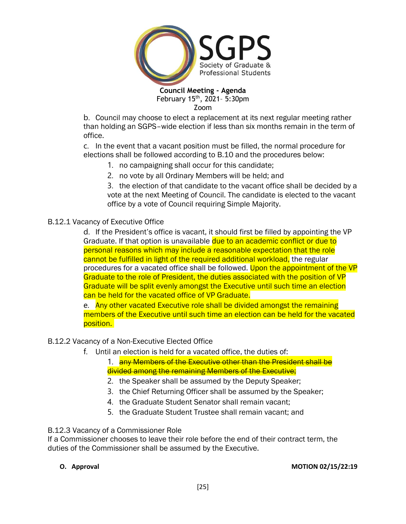

b. Council may choose to elect a replacement at its next regular meeting rather than holding an SGPS–wide election if less than six months remain in the term of office.

c. In the event that a vacant position must be filled, the normal procedure for elections shall be followed according to B.10 and the procedures below:

- 1. no campaigning shall occur for this candidate;
- 2. no vote by all Ordinary Members will be held; and

3. the election of that candidate to the vacant office shall be decided by a vote at the next Meeting of Council. The candidate is elected to the vacant office by a vote of Council requiring Simple Majority.

## B.12.1 Vacancy of Executive Office

d. If the President's office is vacant, it should first be filled by appointing the VP Graduate. If that option is unavailable due to an academic conflict or due to personal reasons which may include a reasonable expectation that the role cannot be fulfilled in light of the required additional workload, the regular procedures for a vacated office shall be followed. Upon the appointment of the VP Graduate to the role of President, the duties associated with the position of VP Graduate will be split evenly amongst the Executive until such time an election can be held for the vacated office of VP Graduate.

e. Any other vacated Executive role shall be divided amongst the remaining members of the Executive until such time an election can be held for the vacated position.

## B.12.2 Vacancy of a Non-Executive Elected Office

f. Until an election is held for a vacated office, the duties of:

1. any Members of the Executive other than the President shall be divided among the remaining Members of the Executive;

- 2. the Speaker shall be assumed by the Deputy Speaker;
- 3. the Chief Returning Officer shall be assumed by the Speaker;
- 4. the Graduate Student Senator shall remain vacant;
- 5. the Graduate Student Trustee shall remain vacant; and

## B.12.3 Vacancy of a Commissioner Role

If a Commissioner chooses to leave their role before the end of their contract term, the duties of the Commissioner shall be assumed by the Executive.

#### **O. Approval MOTION 02/15/22:19**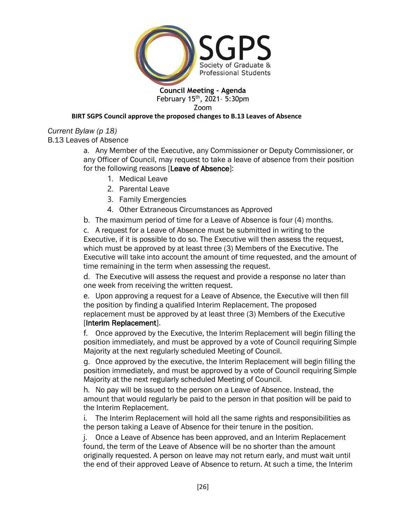

#### **BIRT SGPS Council approve the proposed changes to B.13 Leaves of Absence**

## *Current Bylaw (p 18)*

B.13 Leaves of Absence

a. Any Member of the Executive, any Commissioner or Deputy Commissioner, or any Officer of Council, may request to take a leave of absence from their position for the following reasons [Leave of Absence]:

- 1. Medical Leave
- 2. Parental Leave
- 3. Family Emergencies
- 4. Other Extraneous Circumstances as Approved

b. The maximum period of time for a Leave of Absence is four (4) months.

c. A request for a Leave of Absence must be submitted in writing to the Executive, if it is possible to do so. The Executive will then assess the request, which must be approved by at least three (3) Members of the Executive. The Executive will take into account the amount of time requested, and the amount of time remaining in the term when assessing the request.

d. The Executive will assess the request and provide a response no later than one week from receiving the written request.

e. Upon approving a request for a Leave of Absence, the Executive will then fill the position by finding a qualified Interim Replacement. The proposed replacement must be approved by at least three (3) Members of the Executive [Interim Replacement].

f. Once approved by the Executive, the Interim Replacement will begin filling the position immediately, and must be approved by a vote of Council requiring Simple Majority at the next regularly scheduled Meeting of Council.

g. Once approved by the executive, the Interim Replacement will begin filling the position immediately, and must be approved by a vote of Council requiring Simple Majority at the next regularly scheduled Meeting of Council.

h. No pay will be issued to the person on a Leave of Absence. Instead, the amount that would regularly be paid to the person in that position will be paid to the Interim Replacement.

i. The Interim Replacement will hold all the same rights and responsibilities as the person taking a Leave of Absence for their tenure in the position.

j. Once a Leave of Absence has been approved, and an Interim Replacement found, the term of the Leave of Absence will be no shorter than the amount originally requested. A person on leave may not return early, and must wait until the end of their approved Leave of Absence to return. At such a time, the Interim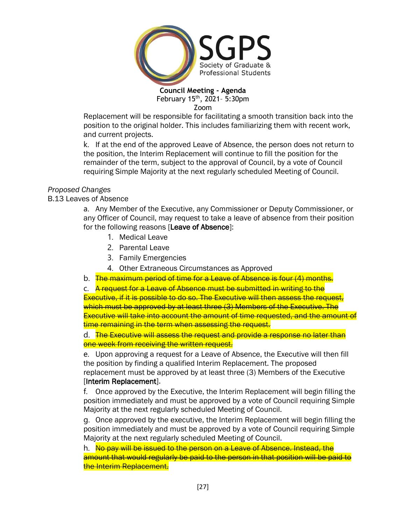

Replacement will be responsible for facilitating a smooth transition back into the position to the original holder. This includes familiarizing them with recent work, and current projects.

k. If at the end of the approved Leave of Absence, the person does not return to the position, the Interim Replacement will continue to fill the position for the remainder of the term, subject to the approval of Council, by a vote of Council requiring Simple Majority at the next regularly scheduled Meeting of Council.

#### *Proposed Changes*

B.13 Leaves of Absence

a. Any Member of the Executive, any Commissioner or Deputy Commissioner, or any Officer of Council, may request to take a leave of absence from their position for the following reasons [Leave of Absence]:

- 1. Medical Leave
- 2. Parental Leave
- 3. Family Emergencies
- 4. Other Extraneous Circumstances as Approved
- b. The maximum period of time for a Leave of Absence is four (4) months.

c. A request for a Leave of Absence must be submitted in writing to the Executive, if it is possible to do so. The Executive will then assess the request, which must be approved by at least three (3) Members of the Executive. The Executive will take into account the amount of time requested, and the amount of time remaining in the term when assessing the request.

d. The Executive will assess the request and provide a response no later than one week from receiving the written request.

e. Upon approving a request for a Leave of Absence, the Executive will then fill the position by finding a qualified Interim Replacement. The proposed replacement must be approved by at least three (3) Members of the Executive [Interim Replacement].

f. Once approved by the Executive, the Interim Replacement will begin filling the position immediately and must be approved by a vote of Council requiring Simple Majority at the next regularly scheduled Meeting of Council.

g. Once approved by the executive, the Interim Replacement will begin filling the position immediately and must be approved by a vote of Council requiring Simple Majority at the next regularly scheduled Meeting of Council.

h. No pay will be issued to the person on a Leave of Absence. Instead, the amount that would regularly be paid to the person in that position will be paid to the Interim Replacement.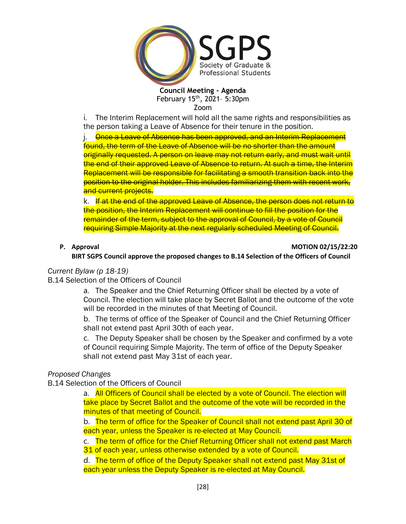

i. The Interim Replacement will hold all the same rights and responsibilities as the person taking a Leave of Absence for their tenure in the position.

j. Once a Leave of Absence has been approved, and an Interim Replacement found, the term of the Leave of Absence will be no shorter than the amount originally requested. A person on leave may not return early, and must wait until the end of their approved Leave of Absence to return. At such a time, the Interim Replacement will be responsible for facilitating a smooth transition back into the position to the original holder. This includes familiarizing them with recent work, and current projects.

k. If at the end of the approved Leave of Absence, the person does not return to the position, the Interim Replacement will continue to fill the position for the remainder of the term, subject to the approval of Council, by a vote of Council requiring Simple Majority at the next regularly scheduled Meeting of Council.

#### **P. Approval MOTION 02/15/22:20**

**BIRT SGPS Council approve the proposed changes to B.14 Selection of the Officers of Council**

*Current Bylaw (p 18-19)*

B.14 Selection of the Officers of Council

a. The Speaker and the Chief Returning Officer shall be elected by a vote of Council. The election will take place by Secret Ballot and the outcome of the vote will be recorded in the minutes of that Meeting of Council.

b. The terms of office of the Speaker of Council and the Chief Returning Officer shall not extend past April 30th of each year.

c. The Deputy Speaker shall be chosen by the Speaker and confirmed by a vote of Council requiring Simple Majority. The term of office of the Deputy Speaker shall not extend past May 31st of each year.

#### *Proposed Changes*

B.14 Selection of the Officers of Council

a. All Officers of Council shall be elected by a vote of Council. The election will take place by Secret Ballot and the outcome of the vote will be recorded in the minutes of that meeting of Council.

b. The term of office for the Speaker of Council shall not extend past April 30 of each year, unless the Speaker is re-elected at May Council.

c. The term of office for the Chief Returning Officer shall not extend past March 31 of each year, unless otherwise extended by a vote of Council.

d. The term of office of the Deputy Speaker shall not extend past May 31st of each year unless the Deputy Speaker is re-elected at May Council.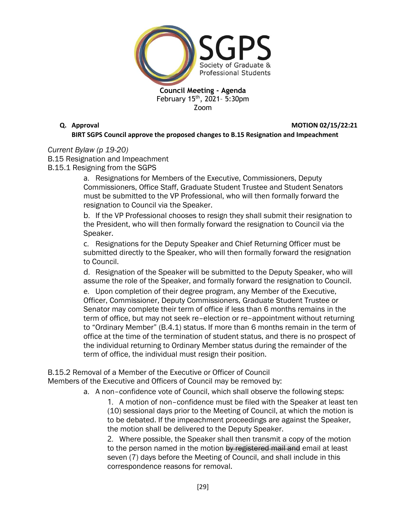

**Q. Approval MOTION 02/15/22:21 BIRT SGPS Council approve the proposed changes to B.15 Resignation and Impeachment**

*Current Bylaw (p 19-20)*

B.15 Resignation and Impeachment

B.15.1 Resigning from the SGPS

a. Resignations for Members of the Executive, Commissioners, Deputy Commissioners, Office Staff, Graduate Student Trustee and Student Senators must be submitted to the VP Professional, who will then formally forward the resignation to Council via the Speaker.

b. If the VP Professional chooses to resign they shall submit their resignation to the President, who will then formally forward the resignation to Council via the Speaker.

c. Resignations for the Deputy Speaker and Chief Returning Officer must be submitted directly to the Speaker, who will then formally forward the resignation to Council.

d. Resignation of the Speaker will be submitted to the Deputy Speaker, who will assume the role of the Speaker, and formally forward the resignation to Council.

e. Upon completion of their degree program, any Member of the Executive, Officer, Commissioner, Deputy Commissioners, Graduate Student Trustee or Senator may complete their term of office if less than 6 months remains in the term of office, but may not seek re–election or re–appointment without returning to "Ordinary Member" (B.4.1) status. If more than 6 months remain in the term of office at the time of the termination of student status, and there is no prospect of the individual returning to Ordinary Member status during the remainder of the term of office, the individual must resign their position.

B.15.2 Removal of a Member of the Executive or Officer of Council

Members of the Executive and Officers of Council may be removed by:

a. A non–confidence vote of Council, which shall observe the following steps:

1. A motion of non–confidence must be filed with the Speaker at least ten (10) sessional days prior to the Meeting of Council, at which the motion is to be debated. If the impeachment proceedings are against the Speaker, the motion shall be delivered to the Deputy Speaker.

2. Where possible, the Speaker shall then transmit a copy of the motion to the person named in the motion by registered mail and email at least seven (7) days before the Meeting of Council, and shall include in this correspondence reasons for removal.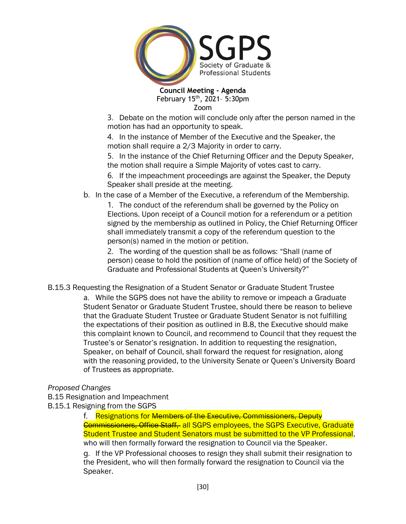

3. Debate on the motion will conclude only after the person named in the motion has had an opportunity to speak.

4. In the instance of Member of the Executive and the Speaker, the motion shall require a 2/3 Majority in order to carry.

5. In the instance of the Chief Returning Officer and the Deputy Speaker, the motion shall require a Simple Majority of votes cast to carry.

6. If the impeachment proceedings are against the Speaker, the Deputy Speaker shall preside at the meeting.

b. In the case of a Member of the Executive, a referendum of the Membership.

1. The conduct of the referendum shall be governed by the Policy on Elections. Upon receipt of a Council motion for a referendum or a petition signed by the membership as outlined in Policy, the Chief Returning Officer shall immediately transmit a copy of the referendum question to the person(s) named in the motion or petition.

2. The wording of the question shall be as follows: "Shall (name of person) cease to hold the position of (name of office held) of the Society of Graduate and Professional Students at Queen's University?"

B.15.3 Requesting the Resignation of a Student Senator or Graduate Student Trustee

a. While the SGPS does not have the ability to remove or impeach a Graduate Student Senator or Graduate Student Trustee, should there be reason to believe that the Graduate Student Trustee or Graduate Student Senator is not fulfilling the expectations of their position as outlined in B.8, the Executive should make this complaint known to Council, and recommend to Council that they request the Trustee's or Senator's resignation. In addition to requesting the resignation, Speaker, on behalf of Council, shall forward the request for resignation, along with the reasoning provided, to the University Senate or Queen's University Board of Trustees as appropriate.

## *Proposed Changes*

- B.15 Resignation and Impeachment
- B.15.1 Resigning from the SGPS

f. Resignations for Members of the Executive, Commissioners, Deputy Commissioners, Office Staff, all SGPS employees, the SGPS Executive, Graduate Student Trustee and Student Senators must be submitted to the VP Professional, who will then formally forward the resignation to Council via the Speaker.

g. If the VP Professional chooses to resign they shall submit their resignation to the President, who will then formally forward the resignation to Council via the Speaker.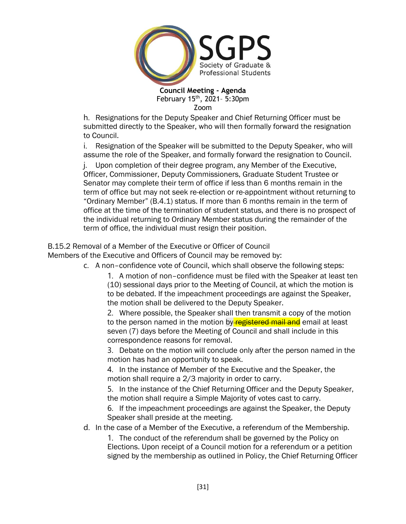

h. Resignations for the Deputy Speaker and Chief Returning Officer must be submitted directly to the Speaker, who will then formally forward the resignation to Council.

i. Resignation of the Speaker will be submitted to the Deputy Speaker, who will assume the role of the Speaker, and formally forward the resignation to Council.

j. Upon completion of their degree program, any Member of the Executive, Officer, Commissioner, Deputy Commissioners, Graduate Student Trustee or Senator may complete their term of office if less than 6 months remain in the term of office but may not seek re-election or re-appointment without returning to "Ordinary Member" (B.4.1) status. If more than 6 months remain in the term of office at the time of the termination of student status, and there is no prospect of the individual returning to Ordinary Member status during the remainder of the term of office, the individual must resign their position.

B.15.2 Removal of a Member of the Executive or Officer of Council

Members of the Executive and Officers of Council may be removed by:

c. A non–confidence vote of Council, which shall observe the following steps:

1. A motion of non–confidence must be filed with the Speaker at least ten (10) sessional days prior to the Meeting of Council, at which the motion is to be debated. If the impeachment proceedings are against the Speaker, the motion shall be delivered to the Deputy Speaker.

2. Where possible, the Speaker shall then transmit a copy of the motion to the person named in the motion by registered mail and email at least seven (7) days before the Meeting of Council and shall include in this correspondence reasons for removal.

3. Debate on the motion will conclude only after the person named in the motion has had an opportunity to speak.

4. In the instance of Member of the Executive and the Speaker, the motion shall require a 2/3 majority in order to carry.

5. In the instance of the Chief Returning Officer and the Deputy Speaker, the motion shall require a Simple Majority of votes cast to carry.

6. If the impeachment proceedings are against the Speaker, the Deputy Speaker shall preside at the meeting.

d. In the case of a Member of the Executive, a referendum of the Membership.

1. The conduct of the referendum shall be governed by the Policy on Elections. Upon receipt of a Council motion for a referendum or a petition signed by the membership as outlined in Policy, the Chief Returning Officer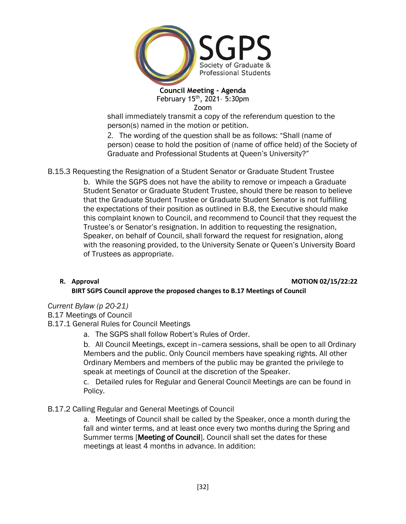

shall immediately transmit a copy of the referendum question to the person(s) named in the motion or petition.

2. The wording of the question shall be as follows: "Shall (name of person) cease to hold the position of (name of office held) of the Society of Graduate and Professional Students at Queen's University?"

B.15.3 Requesting the Resignation of a Student Senator or Graduate Student Trustee

b. While the SGPS does not have the ability to remove or impeach a Graduate Student Senator or Graduate Student Trustee, should there be reason to believe that the Graduate Student Trustee or Graduate Student Senator is not fulfilling the expectations of their position as outlined in B.8, the Executive should make this complaint known to Council, and recommend to Council that they request the Trustee's or Senator's resignation. In addition to requesting the resignation, Speaker, on behalf of Council, shall forward the request for resignation, along with the reasoning provided, to the University Senate or Queen's University Board of Trustees as appropriate.

#### **R. Approval MOTION 02/15/22:22 BIRT SGPS Council approve the proposed changes to B.17 Meetings of Council**

*Current Bylaw (p 20-21)*

B.17 Meetings of Council

B.17.1 General Rules for Council Meetings

a. The SGPS shall follow Robert's Rules of Order.

b. All Council Meetings, except in–camera sessions, shall be open to all Ordinary Members and the public. Only Council members have speaking rights. All other Ordinary Members and members of the public may be granted the privilege to speak at meetings of Council at the discretion of the Speaker.

c. Detailed rules for Regular and General Council Meetings are can be found in Policy.

## B.17.2 Calling Regular and General Meetings of Council

a. Meetings of Council shall be called by the Speaker, once a month during the fall and winter terms, and at least once every two months during the Spring and Summer terms [Meeting of Council]. Council shall set the dates for these meetings at least 4 months in advance. In addition: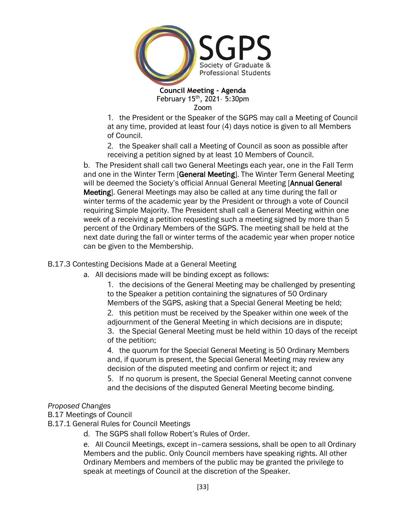

1. the President or the Speaker of the SGPS may call a Meeting of Council at any time, provided at least four (4) days notice is given to all Members of Council.

2. the Speaker shall call a Meeting of Council as soon as possible after receiving a petition signed by at least 10 Members of Council.

b. The President shall call two General Meetings each year, one in the Fall Term and one in the Winter Term [General Meeting]. The Winter Term General Meeting will be deemed the Society's official Annual General Meeting [Annual General Meeting]. General Meetings may also be called at any time during the fall or winter terms of the academic year by the President or through a vote of Council requiring Simple Majority. The President shall call a General Meeting within one week of a receiving a petition requesting such a meeting signed by more than 5 percent of the Ordinary Members of the SGPS. The meeting shall be held at the next date during the fall or winter terms of the academic year when proper notice can be given to the Membership.

## B.17.3 Contesting Decisions Made at a General Meeting

a. All decisions made will be binding except as follows:

1. the decisions of the General Meeting may be challenged by presenting to the Speaker a petition containing the signatures of 50 Ordinary Members of the SGPS, asking that a Special General Meeting be held;

2. this petition must be received by the Speaker within one week of the adjournment of the General Meeting in which decisions are in dispute;

3. the Special General Meeting must be held within 10 days of the receipt of the petition;

4. the quorum for the Special General Meeting is 50 Ordinary Members and, if quorum is present, the Special General Meeting may review any decision of the disputed meeting and confirm or reject it; and

5. If no quorum is present, the Special General Meeting cannot convene and the decisions of the disputed General Meeting become binding.

## *Proposed Changes*

B.17 Meetings of Council

B.17.1 General Rules for Council Meetings

d. The SGPS shall follow Robert's Rules of Order.

e. All Council Meetings, except in–camera sessions, shall be open to all Ordinary Members and the public. Only Council members have speaking rights. All other Ordinary Members and members of the public may be granted the privilege to speak at meetings of Council at the discretion of the Speaker.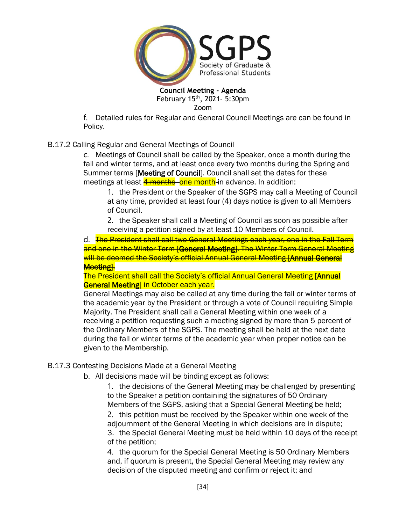

f. Detailed rules for Regular and General Council Meetings are can be found in Policy.

## B.17.2 Calling Regular and General Meetings of Council

c. Meetings of Council shall be called by the Speaker, once a month during the fall and winter terms, and at least once every two months during the Spring and Summer terms [Meeting of Council]. Council shall set the dates for these meetings at least 4 months one month-in advance. In addition:

1. the President or the Speaker of the SGPS may call a Meeting of Council at any time, provided at least four (4) days notice is given to all Members of Council.

2. the Speaker shall call a Meeting of Council as soon as possible after receiving a petition signed by at least 10 Members of Council.

d. The President shall call two General Meetings each year, one in the Fall Term and one in the Winter Term [General Meeting]. The Winter Term General Meeting will be deemed the Society's official Annual General Meeting [Annual General Meeting].

#### The President shall call the Society's official Annual General Meeting [Annual General Meeting] in October each year.

General Meetings may also be called at any time during the fall or winter terms of the academic year by the President or through a vote of Council requiring Simple Majority. The President shall call a General Meeting within one week of a receiving a petition requesting such a meeting signed by more than 5 percent of the Ordinary Members of the SGPS. The meeting shall be held at the next date during the fall or winter terms of the academic year when proper notice can be given to the Membership.

## B.17.3 Contesting Decisions Made at a General Meeting

b. All decisions made will be binding except as follows:

1. the decisions of the General Meeting may be challenged by presenting to the Speaker a petition containing the signatures of 50 Ordinary Members of the SGPS, asking that a Special General Meeting be held;

2. this petition must be received by the Speaker within one week of the adjournment of the General Meeting in which decisions are in dispute; 3. the Special General Meeting must be held within 10 days of the receipt of the petition;

4. the quorum for the Special General Meeting is 50 Ordinary Members and, if quorum is present, the Special General Meeting may review any decision of the disputed meeting and confirm or reject it; and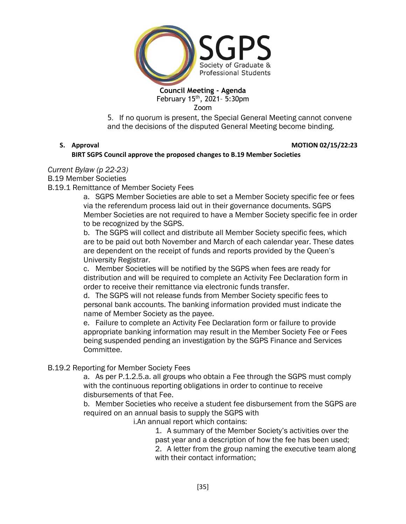

5. If no quorum is present, the Special General Meeting cannot convene and the decisions of the disputed General Meeting become binding.

#### **S. Approval MOTION 02/15/22:23**

#### **BIRT SGPS Council approve the proposed changes to B.19 Member Societies**

#### *Current Bylaw (p 22-23)*

B.19 Member Societies

B.19.1 Remittance of Member Society Fees

a. SGPS Member Societies are able to set a Member Society specific fee or fees via the referendum process laid out in their governance documents. SGPS Member Societies are not required to have a Member Society specific fee in order to be recognized by the SGPS.

b. The SGPS will collect and distribute all Member Society specific fees, which are to be paid out both November and March of each calendar year. These dates are dependent on the receipt of funds and reports provided by the Queen's University Registrar.

c. Member Societies will be notified by the SGPS when fees are ready for distribution and will be required to complete an Activity Fee Declaration form in order to receive their remittance via electronic funds transfer.

d. The SGPS will not release funds from Member Society specific fees to personal bank accounts. The banking information provided must indicate the name of Member Society as the payee.

e. Failure to complete an Activity Fee Declaration form or failure to provide appropriate banking information may result in the Member Society Fee or Fees being suspended pending an investigation by the SGPS Finance and Services Committee.

## B.19.2 Reporting for Member Society Fees

a. As per P.1.2.5.a. all groups who obtain a Fee through the SGPS must comply with the continuous reporting obligations in order to continue to receive disbursements of that Fee.

b. Member Societies who receive a student fee disbursement from the SGPS are required on an annual basis to supply the SGPS with

i.An annual report which contains:

1. A summary of the Member Society's activities over the past year and a description of how the fee has been used; 2. A letter from the group naming the executive team along with their contact information;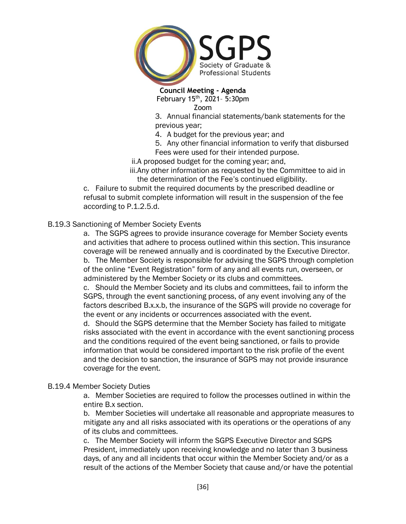

3. Annual financial statements/bank statements for the previous year;

4. A budget for the previous year; and

5. Any other financial information to verify that disbursed Fees were used for their intended purpose.

ii.A proposed budget for the coming year; and,

iii.Any other information as requested by the Committee to aid in the determination of the Fee's continued eligibility.

c. Failure to submit the required documents by the prescribed deadline or refusal to submit complete information will result in the suspension of the fee according to P.1.2.5.d.

## B.19.3 Sanctioning of Member Society Events

a. The SGPS agrees to provide insurance coverage for Member Society events and activities that adhere to process outlined within this section. This insurance coverage will be renewed annually and is coordinated by the Executive Director. b. The Member Society is responsible for advising the SGPS through completion of the online "Event Registration" form of any and all events run, overseen, or administered by the Member Society or its clubs and committees.

c. Should the Member Society and its clubs and committees, fail to inform the SGPS, through the event sanctioning process, of any event involving any of the factors described B.x.x.b, the insurance of the SGPS will provide no coverage for the event or any incidents or occurrences associated with the event.

d. Should the SGPS determine that the Member Society has failed to mitigate risks associated with the event in accordance with the event sanctioning process and the conditions required of the event being sanctioned, or fails to provide information that would be considered important to the risk profile of the event and the decision to sanction, the insurance of SGPS may not provide insurance coverage for the event.

## B.19.4 Member Society Duties

a. Member Societies are required to follow the processes outlined in within the entire B.x section.

b. Member Societies will undertake all reasonable and appropriate measures to mitigate any and all risks associated with its operations or the operations of any of its clubs and committees.

c. The Member Society will inform the SGPS Executive Director and SGPS President, immediately upon receiving knowledge and no later than 3 business days, of any and all incidents that occur within the Member Society and/or as a result of the actions of the Member Society that cause and/or have the potential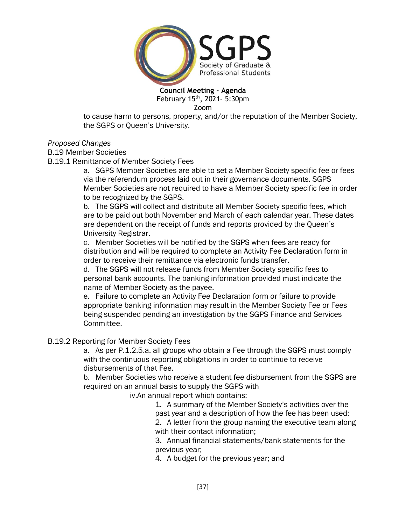

to cause harm to persons, property, and/or the reputation of the Member Society, the SGPS or Queen's University.

*Proposed Changes*

B.19 Member Societies

B.19.1 Remittance of Member Society Fees

a. SGPS Member Societies are able to set a Member Society specific fee or fees via the referendum process laid out in their governance documents. SGPS Member Societies are not required to have a Member Society specific fee in order to be recognized by the SGPS.

b. The SGPS will collect and distribute all Member Society specific fees, which are to be paid out both November and March of each calendar year. These dates are dependent on the receipt of funds and reports provided by the Queen's University Registrar.

c. Member Societies will be notified by the SGPS when fees are ready for distribution and will be required to complete an Activity Fee Declaration form in order to receive their remittance via electronic funds transfer.

d. The SGPS will not release funds from Member Society specific fees to personal bank accounts. The banking information provided must indicate the name of Member Society as the payee.

e. Failure to complete an Activity Fee Declaration form or failure to provide appropriate banking information may result in the Member Society Fee or Fees being suspended pending an investigation by the SGPS Finance and Services Committee.

## B.19.2 Reporting for Member Society Fees

a. As per P.1.2.5.a. all groups who obtain a Fee through the SGPS must comply with the continuous reporting obligations in order to continue to receive disbursements of that Fee.

b. Member Societies who receive a student fee disbursement from the SGPS are required on an annual basis to supply the SGPS with

iv.An annual report which contains:

1. A summary of the Member Society's activities over the past year and a description of how the fee has been used;

2. A letter from the group naming the executive team along with their contact information;

3. Annual financial statements/bank statements for the previous year;

4. A budget for the previous year; and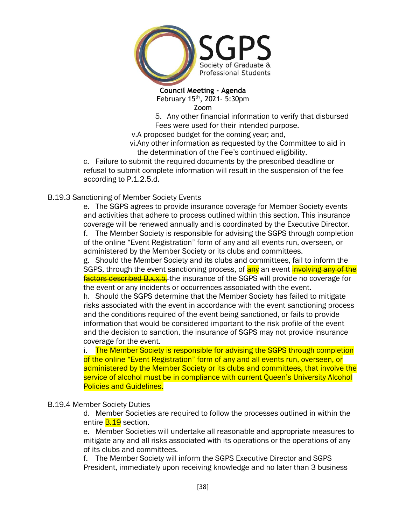

5. Any other financial information to verify that disbursed Fees were used for their intended purpose.

v.A proposed budget for the coming year; and,

vi.Any other information as requested by the Committee to aid in the determination of the Fee's continued eligibility.

c. Failure to submit the required documents by the prescribed deadline or refusal to submit complete information will result in the suspension of the fee according to P.1.2.5.d.

B.19.3 Sanctioning of Member Society Events

e. The SGPS agrees to provide insurance coverage for Member Society events and activities that adhere to process outlined within this section. This insurance coverage will be renewed annually and is coordinated by the Executive Director.

f. The Member Society is responsible for advising the SGPS through completion of the online "Event Registration" form of any and all events run, overseen, or administered by the Member Society or its clubs and committees.

g. Should the Member Society and its clubs and committees, fail to inform the SGPS, through the event sanctioning process, of  $\frac{1}{2}$  an event involving any of the factors described B.x.x.b. the insurance of the SGPS will provide no coverage for the event or any incidents or occurrences associated with the event.

h. Should the SGPS determine that the Member Society has failed to mitigate risks associated with the event in accordance with the event sanctioning process and the conditions required of the event being sanctioned, or fails to provide information that would be considered important to the risk profile of the event and the decision to sanction, the insurance of SGPS may not provide insurance coverage for the event.

i. The Member Society is responsible for advising the SGPS through completion of the online "Event Registration" form of any and all events run, overseen, or administered by the Member Society or its clubs and committees, that involve the service of alcohol must be in compliance with current Queen's University Alcohol Policies and Guidelines.

B.19.4 Member Society Duties

d. Member Societies are required to follow the processes outlined in within the entire **B.19** section.

e. Member Societies will undertake all reasonable and appropriate measures to mitigate any and all risks associated with its operations or the operations of any of its clubs and committees.

f. The Member Society will inform the SGPS Executive Director and SGPS President, immediately upon receiving knowledge and no later than 3 business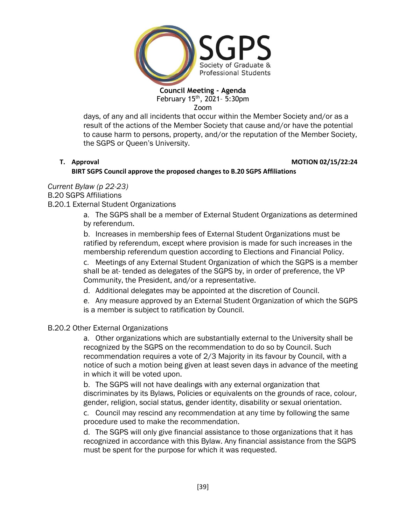

days, of any and all incidents that occur within the Member Society and/or as a result of the actions of the Member Society that cause and/or have the potential to cause harm to persons, property, and/or the reputation of the Member Society, the SGPS or Queen's University.

#### **T. Approval MOTION 02/15/22:24**

#### **BIRT SGPS Council approve the proposed changes to B.20 SGPS Affiliations**

#### *Current Bylaw (p 22-23)* B.20 SGPS Affiliations

B.20.1 External Student Organizations

a. The SGPS shall be a member of External Student Organizations as determined by referendum.

b. Increases in membership fees of External Student Organizations must be ratified by referendum, except where provision is made for such increases in the membership referendum question according to Elections and Financial Policy.

c. Meetings of any External Student Organization of which the SGPS is a member shall be at- tended as delegates of the SGPS by, in order of preference, the VP Community, the President, and/or a representative.

d. Additional delegates may be appointed at the discretion of Council.

e. Any measure approved by an External Student Organization of which the SGPS is a member is subject to ratification by Council.

## B.20.2 Other External Organizations

a. Other organizations which are substantially external to the University shall be recognized by the SGPS on the recommendation to do so by Council. Such recommendation requires a vote of 2/3 Majority in its favour by Council, with a notice of such a motion being given at least seven days in advance of the meeting in which it will be voted upon.

b. The SGPS will not have dealings with any external organization that discriminates by its Bylaws, Policies or equivalents on the grounds of race, colour, gender, religion, social status, gender identity, disability or sexual orientation.

c. Council may rescind any recommendation at any time by following the same procedure used to make the recommendation.

d. The SGPS will only give financial assistance to those organizations that it has recognized in accordance with this Bylaw. Any financial assistance from the SGPS must be spent for the purpose for which it was requested.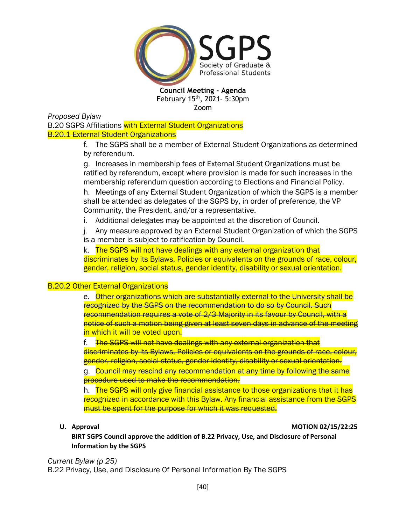

*Proposed Bylaw* B.20 SGPS Affiliations with External Student Organizations **B.20.1 External Student Organizations** 

> f. The SGPS shall be a member of External Student Organizations as determined by referendum.

g. Increases in membership fees of External Student Organizations must be ratified by referendum, except where provision is made for such increases in the membership referendum question according to Elections and Financial Policy.

h. Meetings of any External Student Organization of which the SGPS is a member shall be attended as delegates of the SGPS by, in order of preference, the VP Community, the President, and/or a representative.

i. Additional delegates may be appointed at the discretion of Council.

j. Any measure approved by an External Student Organization of which the SGPS is a member is subject to ratification by Council.

k. The SGPS will not have dealings with any external organization that discriminates by its Bylaws, Policies or equivalents on the grounds of race, colour, gender, religion, social status, gender identity, disability or sexual orientation.

#### **B.20.2 Other External Organizations**

e. Other organizations which are substantially external to the University shall be recognized by the SGPS on the recommendation to do so by Council. Such recommendation requires a vote of 2/3 Majority in its favour by Council, with a notice of such a motion being given at least seven days in advance of the meeting in which it will be voted upon.

f. The SGPS will not have dealings with any external organization that discriminates by its Bylaws, Policies or equivalents on the grounds of race, colour, gender, religion, social status, gender identity, disability or sexual orientation.

g. Council may rescind any recommendation at any time by following the same procedure used to make the recommendation.

h. The SGPS will only give financial assistance to those organizations that it has recognized in accordance with this Bylaw. Any financial assistance from the SGPS must be spent for the purpose for which it was requested.

#### U. Approval **MOTION 02/15/22:25**

**BIRT SGPS Council approve the addition of B.22 Privacy, Use, and Disclosure of Personal Information by the SGPS**

#### *Current Bylaw (p 25)*

B.22 Privacy, Use, and Disclosure Of Personal Information By The SGPS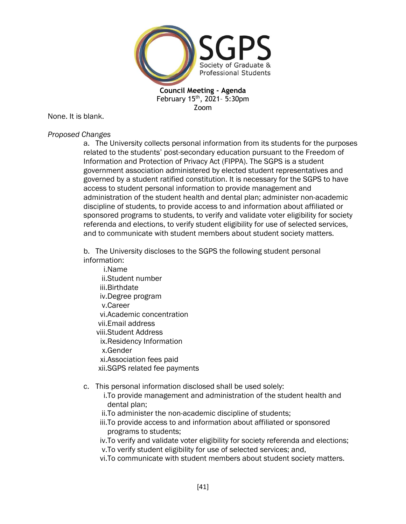

None. It is blank.

#### *Proposed Changes*

a. The University collects personal information from its students for the purposes related to the students' post-secondary education pursuant to the Freedom of Information and Protection of Privacy Act (FIPPA). The SGPS is a student government association administered by elected student representatives and governed by a student ratified constitution. It is necessary for the SGPS to have access to student personal information to provide management and administration of the student health and dental plan; administer non-academic discipline of students, to provide access to and information about affiliated or sponsored programs to students, to verify and validate voter eligibility for society referenda and elections, to verify student eligibility for use of selected services, and to communicate with student members about student society matters.

b. The University discloses to the SGPS the following student personal information:

- i.Name ii.Student number iii.Birthdate iv.Degree program v.Career vi.Academic concentration vii.Email address viii.Student Address ix.Residency Information x.Gender xi.Association fees paid
- xii.SGPS related fee payments
- c. This personal information disclosed shall be used solely:
	- i.To provide management and administration of the student health and dental plan;
	- ii.To administer the non-academic discipline of students;
	- iii.To provide access to and information about affiliated or sponsored programs to students;
	- iv.To verify and validate voter eligibility for society referenda and elections; v.To verify student eligibility for use of selected services; and,
	- vi.To communicate with student members about student society matters.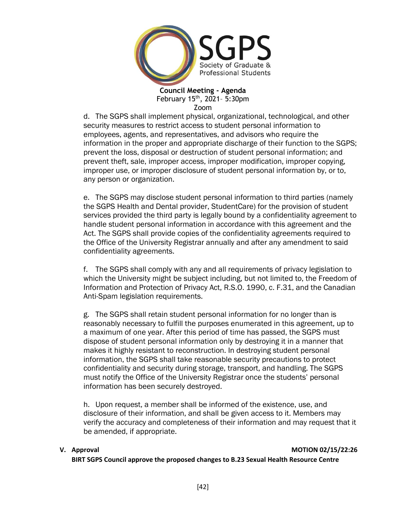

d. The SGPS shall implement physical, organizational, technological, and other security measures to restrict access to student personal information to employees, agents, and representatives, and advisors who require the information in the proper and appropriate discharge of their function to the SGPS; prevent the loss, disposal or destruction of student personal information; and prevent theft, sale, improper access, improper modification, improper copying, improper use, or improper disclosure of student personal information by, or to, any person or organization.

e. The SGPS may disclose student personal information to third parties (namely the SGPS Health and Dental provider, StudentCare) for the provision of student services provided the third party is legally bound by a confidentiality agreement to handle student personal information in accordance with this agreement and the Act. The SGPS shall provide copies of the confidentiality agreements required to the Office of the University Registrar annually and after any amendment to said confidentiality agreements.

f. The SGPS shall comply with any and all requirements of privacy legislation to which the University might be subject including, but not limited to, the Freedom of Information and Protection of Privacy Act, R.S.O. 1990, c. F.31, and the Canadian Anti-Spam legislation requirements.

g. The SGPS shall retain student personal information for no longer than is reasonably necessary to fulfill the purposes enumerated in this agreement, up to a maximum of one year. After this period of time has passed, the SGPS must dispose of student personal information only by destroying it in a manner that makes it highly resistant to reconstruction. In destroying student personal information, the SGPS shall take reasonable security precautions to protect confidentiality and security during storage, transport, and handling. The SGPS must notify the Office of the University Registrar once the students' personal information has been securely destroyed.

h. Upon request, a member shall be informed of the existence, use, and disclosure of their information, and shall be given access to it. Members may verify the accuracy and completeness of their information and may request that it be amended, if appropriate.

#### **V. Approval MOTION 02/15/22:26**

**BIRT SGPS Council approve the proposed changes to B.23 Sexual Health Resource Centre**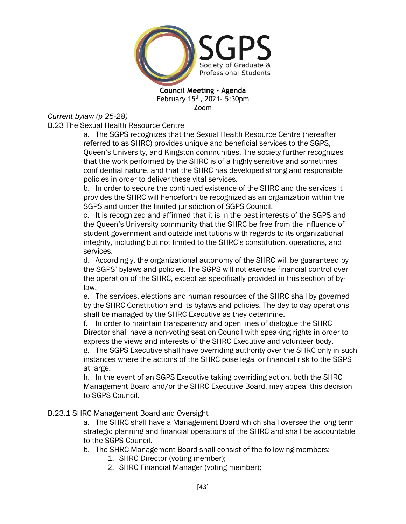

## *Current bylaw (p 25-28)*

B.23 The Sexual Health Resource Centre

a. The SGPS recognizes that the Sexual Health Resource Centre (hereafter referred to as SHRC) provides unique and beneficial services to the SGPS, Queen's University, and Kingston communities. The society further recognizes that the work performed by the SHRC is of a highly sensitive and sometimes confidential nature, and that the SHRC has developed strong and responsible policies in order to deliver these vital services.

b. In order to secure the continued existence of the SHRC and the services it provides the SHRC will henceforth be recognized as an organization within the SGPS and under the limited jurisdiction of SGPS Council.

c. It is recognized and affirmed that it is in the best interests of the SGPS and the Queen's University community that the SHRC be free from the influence of student government and outside institutions with regards to its organizational integrity, including but not limited to the SHRC's constitution, operations, and services.

d. Accordingly, the organizational autonomy of the SHRC will be guaranteed by the SGPS' bylaws and policies. The SGPS will not exercise financial control over the operation of the SHRC, except as specifically provided in this section of bylaw.

e. The services, elections and human resources of the SHRC shall by governed by the SHRC Constitution and its bylaws and policies. The day to day operations shall be managed by the SHRC Executive as they determine.

f. In order to maintain transparency and open lines of dialogue the SHRC Director shall have a non-voting seat on Council with speaking rights in order to express the views and interests of the SHRC Executive and volunteer body.

g. The SGPS Executive shall have overriding authority over the SHRC only in such instances where the actions of the SHRC pose legal or financial risk to the SGPS at large.

h. In the event of an SGPS Executive taking overriding action, both the SHRC Management Board and/or the SHRC Executive Board, may appeal this decision to SGPS Council.

#### B.23.1 SHRC Management Board and Oversight

a. The SHRC shall have a Management Board which shall oversee the long term strategic planning and financial operations of the SHRC and shall be accountable to the SGPS Council.

b. The SHRC Management Board shall consist of the following members:

- 1. SHRC Director (voting member);
- 2. SHRC Financial Manager (voting member);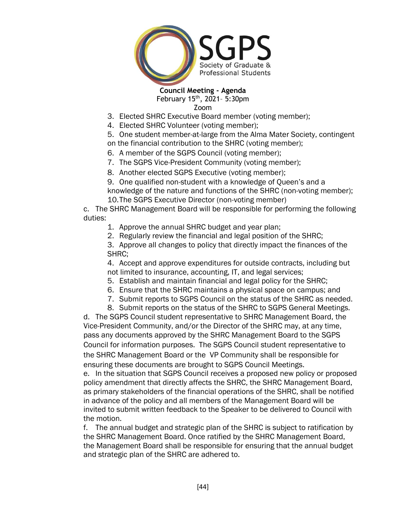

Zoom

- 3. Elected SHRC Executive Board member (voting member);
- 4. Elected SHRC Volunteer (voting member);
- 5. One student member-at-large from the Alma Mater Society, contingent

on the financial contribution to the SHRC (voting member);

- 6. A member of the SGPS Council (voting member);
- 7. The SGPS Vice-President Community (voting member);
- 8. Another elected SGPS Executive (voting member);

9. One qualified non-student with a knowledge of Queen's and a knowledge of the nature and functions of the SHRC (non-voting member); 10.The SGPS Executive Director (non-voting member)

c. The SHRC Management Board will be responsible for performing the following duties:

- 1. Approve the annual SHRC budget and year plan;
- 2. Regularly review the financial and legal position of the SHRC;

3. Approve all changes to policy that directly impact the finances of the SHRC;

4. Accept and approve expenditures for outside contracts, including but not limited to insurance, accounting, IT, and legal services;

- 5. Establish and maintain financial and legal policy for the SHRC;
- 6. Ensure that the SHRC maintains a physical space on campus; and
- 7. Submit reports to SGPS Council on the status of the SHRC as needed.
- 8. Submit reports on the status of the SHRC to SGPS General Meetings.

d. The SGPS Council student representative to SHRC Management Board, the Vice-President Community, and/or the Director of the SHRC may, at any time, pass any documents approved by the SHRC Management Board to the SGPS Council for information purposes. The SGPS Council student representative to the SHRC Management Board or the VP Community shall be responsible for ensuring these documents are brought to SGPS Council Meetings.

e. In the situation that SGPS Council receives a proposed new policy or proposed policy amendment that directly affects the SHRC, the SHRC Management Board, as primary stakeholders of the financial operations of the SHRC, shall be notified in advance of the policy and all members of the Management Board will be invited to submit written feedback to the Speaker to be delivered to Council with the motion.

f. The annual budget and strategic plan of the SHRC is subject to ratification by the SHRC Management Board. Once ratified by the SHRC Management Board, the Management Board shall be responsible for ensuring that the annual budget and strategic plan of the SHRC are adhered to.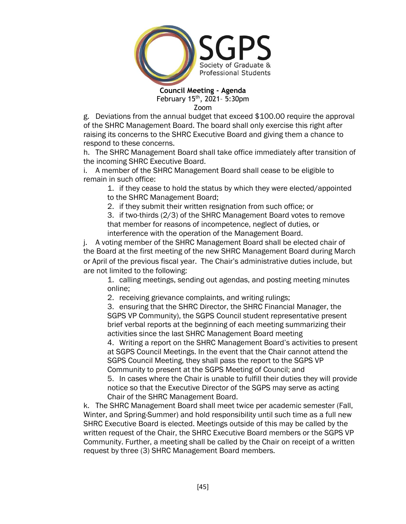

Zoom

g. Deviations from the annual budget that exceed \$100.00 require the approval of the SHRC Management Board. The board shall only exercise this right after raising its concerns to the SHRC Executive Board and giving them a chance to respond to these concerns.

h. The SHRC Management Board shall take office immediately after transition of the incoming SHRC Executive Board.

i. A member of the SHRC Management Board shall cease to be eligible to remain in such office:

1. if they cease to hold the status by which they were elected/appointed to the SHRC Management Board;

2. if they submit their written resignation from such office; or

3. if two-thirds (2/3) of the SHRC Management Board votes to remove that member for reasons of incompetence, neglect of duties, or interference with the operation of the Management Board.

j. A voting member of the SHRC Management Board shall be elected chair of the Board at the first meeting of the new SHRC Management Board during March or April of the previous fiscal year. The Chair's administrative duties include, but are not limited to the following:

1. calling meetings, sending out agendas, and posting meeting minutes online;

2. receiving grievance complaints, and writing rulings;

3. ensuring that the SHRC Director, the SHRC Financial Manager, the SGPS VP Community), the SGPS Council student representative present brief verbal reports at the beginning of each meeting summarizing their activities since the last SHRC Management Board meeting

4. Writing a report on the SHRC Management Board's activities to present at SGPS Council Meetings. In the event that the Chair cannot attend the SGPS Council Meeting, they shall pass the report to the SGPS VP Community to present at the SGPS Meeting of Council; and

5. In cases where the Chair is unable to fulfill their duties they will provide notice so that the Executive Director of the SGPS may serve as acting Chair of the SHRC Management Board.

k. The SHRC Management Board shall meet twice per academic semester (Fall, Winter, and Spring-Summer) and hold responsibility until such time as a full new SHRC Executive Board is elected. Meetings outside of this may be called by the written request of the Chair, the SHRC Executive Board members or the SGPS VP Community. Further, a meeting shall be called by the Chair on receipt of a written request by three (3) SHRC Management Board members.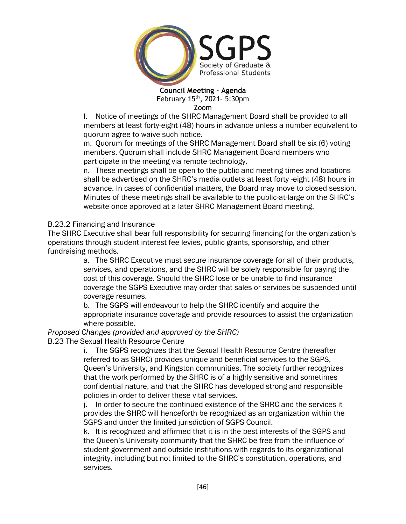

l. Notice of meetings of the SHRC Management Board shall be provided to all members at least forty-eight (48) hours in advance unless a number equivalent to quorum agree to waive such notice.

m. Quorum for meetings of the SHRC Management Board shall be six (6) voting members. Quorum shall include SHRC Management Board members who participate in the meeting via remote technology.

n. These meetings shall be open to the public and meeting times and locations shall be advertised on the SHRC's media outlets at least forty -eight (48) hours in advance. In cases of confidential matters, the Board may move to closed session. Minutes of these meetings shall be available to the public-at-large on the SHRC's website once approved at a later SHRC Management Board meeting.

#### B.23.2 Financing and Insurance

The SHRC Executive shall bear full responsibility for securing financing for the organization's operations through student interest fee levies, public grants, sponsorship, and other fundraising methods.

> a. The SHRC Executive must secure insurance coverage for all of their products, services, and operations, and the SHRC will be solely responsible for paying the cost of this coverage. Should the SHRC lose or be unable to find insurance coverage the SGPS Executive may order that sales or services be suspended until coverage resumes.

b. The SGPS will endeavour to help the SHRC identify and acquire the appropriate insurance coverage and provide resources to assist the organization where possible.

#### *Proposed Changes (provided and approved by the SHRC)*

B.23 The Sexual Health Resource Centre

i. The SGPS recognizes that the Sexual Health Resource Centre (hereafter referred to as SHRC) provides unique and beneficial services to the SGPS, Queen's University, and Kingston communities. The society further recognizes that the work performed by the SHRC is of a highly sensitive and sometimes confidential nature, and that the SHRC has developed strong and responsible policies in order to deliver these vital services.

j. In order to secure the continued existence of the SHRC and the services it provides the SHRC will henceforth be recognized as an organization within the SGPS and under the limited jurisdiction of SGPS Council.

k. It is recognized and affirmed that it is in the best interests of the SGPS and the Queen's University community that the SHRC be free from the influence of student government and outside institutions with regards to its organizational integrity, including but not limited to the SHRC's constitution, operations, and services.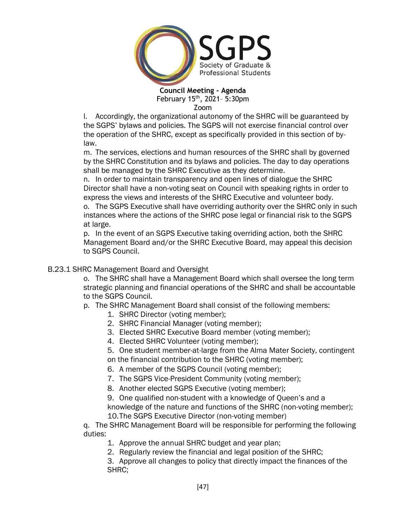

Zoom

l. Accordingly, the organizational autonomy of the SHRC will be guaranteed by the SGPS' bylaws and policies. The SGPS will not exercise financial control over the operation of the SHRC, except as specifically provided in this section of bylaw.

m. The services, elections and human resources of the SHRC shall by governed by the SHRC Constitution and its bylaws and policies. The day to day operations shall be managed by the SHRC Executive as they determine.

n. In order to maintain transparency and open lines of dialogue the SHRC Director shall have a non-voting seat on Council with speaking rights in order to express the views and interests of the SHRC Executive and volunteer body.

o. The SGPS Executive shall have overriding authority over the SHRC only in such instances where the actions of the SHRC pose legal or financial risk to the SGPS at large.

p. In the event of an SGPS Executive taking overriding action, both the SHRC Management Board and/or the SHRC Executive Board, may appeal this decision to SGPS Council.

## B.23.1 SHRC Management Board and Oversight

o. The SHRC shall have a Management Board which shall oversee the long term strategic planning and financial operations of the SHRC and shall be accountable to the SGPS Council.

p. The SHRC Management Board shall consist of the following members:

- 1. SHRC Director (voting member);
- 2. SHRC Financial Manager (voting member);
- 3. Elected SHRC Executive Board member (voting member);
- 4. Elected SHRC Volunteer (voting member);
- 5. One student member-at-large from the Alma Mater Society, contingent
- on the financial contribution to the SHRC (voting member);
- 6. A member of the SGPS Council (voting member);
- 7. The SGPS Vice-President Community (voting member);
- 8. Another elected SGPS Executive (voting member);

9. One qualified non-student with a knowledge of Queen's and a knowledge of the nature and functions of the SHRC (non-voting member); 10.The SGPS Executive Director (non-voting member)

q. The SHRC Management Board will be responsible for performing the following duties:

- 1. Approve the annual SHRC budget and year plan;
- 2. Regularly review the financial and legal position of the SHRC;

3. Approve all changes to policy that directly impact the finances of the SHRC;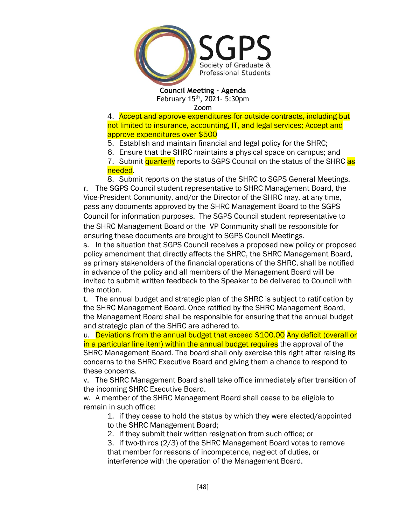

4. Accept and approve expenditures for outside contracts, including but not limited to insurance, accounting, IT, and legal services; Accept and approve expenditures over \$500

- 5. Establish and maintain financial and legal policy for the SHRC;
- 6. Ensure that the SHRC maintains a physical space on campus; and

7. Submit quarterly reports to SGPS Council on the status of the SHRC as needed.

8. Submit reports on the status of the SHRC to SGPS General Meetings. r. The SGPS Council student representative to SHRC Management Board, the Vice-President Community, and/or the Director of the SHRC may, at any time, pass any documents approved by the SHRC Management Board to the SGPS Council for information purposes. The SGPS Council student representative to the SHRC Management Board or the VP Community shall be responsible for ensuring these documents are brought to SGPS Council Meetings.

s. In the situation that SGPS Council receives a proposed new policy or proposed policy amendment that directly affects the SHRC, the SHRC Management Board, as primary stakeholders of the financial operations of the SHRC, shall be notified in advance of the policy and all members of the Management Board will be invited to submit written feedback to the Speaker to be delivered to Council with the motion.

t. The annual budget and strategic plan of the SHRC is subject to ratification by the SHRC Management Board. Once ratified by the SHRC Management Board, the Management Board shall be responsible for ensuring that the annual budget and strategic plan of the SHRC are adhered to.

u. Deviations from the annual budget that exceed \$100.00 Any deficit (overall or in a particular line item) within the annual budget requires the approval of the SHRC Management Board. The board shall only exercise this right after raising its concerns to the SHRC Executive Board and giving them a chance to respond to these concerns.

v. The SHRC Management Board shall take office immediately after transition of the incoming SHRC Executive Board.

w. A member of the SHRC Management Board shall cease to be eligible to remain in such office:

1. if they cease to hold the status by which they were elected/appointed to the SHRC Management Board;

- 2. if they submit their written resignation from such office; or
- 3. if two-thirds (2/3) of the SHRC Management Board votes to remove that member for reasons of incompetence, neglect of duties, or interference with the operation of the Management Board.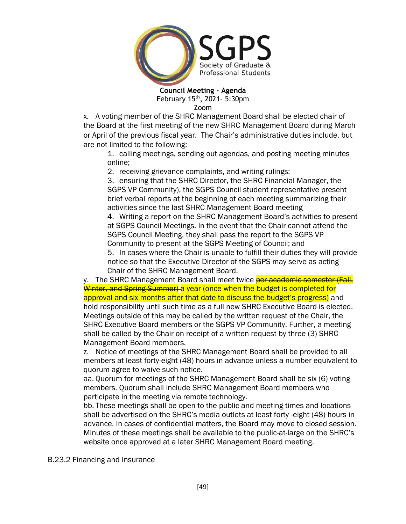

x. A voting member of the SHRC Management Board shall be elected chair of the Board at the first meeting of the new SHRC Management Board during March or April of the previous fiscal year. The Chair's administrative duties include, but are not limited to the following:

1. calling meetings, sending out agendas, and posting meeting minutes online;

2. receiving grievance complaints, and writing rulings;

3. ensuring that the SHRC Director, the SHRC Financial Manager, the SGPS VP Community), the SGPS Council student representative present brief verbal reports at the beginning of each meeting summarizing their activities since the last SHRC Management Board meeting

4. Writing a report on the SHRC Management Board's activities to present at SGPS Council Meetings. In the event that the Chair cannot attend the SGPS Council Meeting, they shall pass the report to the SGPS VP Community to present at the SGPS Meeting of Council; and

5. In cases where the Chair is unable to fulfill their duties they will provide notice so that the Executive Director of the SGPS may serve as acting Chair of the SHRC Management Board.

y. The SHRC Management Board shall meet twice per academic semester (Fall, Winter, and Spring Summer) a year (once when the budget is completed for approval and six months after that date to discuss the budget's progress) and hold responsibility until such time as a full new SHRC Executive Board is elected. Meetings outside of this may be called by the written request of the Chair, the SHRC Executive Board members or the SGPS VP Community. Further, a meeting shall be called by the Chair on receipt of a written request by three (3) SHRC Management Board members.

z. Notice of meetings of the SHRC Management Board shall be provided to all members at least forty-eight (48) hours in advance unless a number equivalent to quorum agree to waive such notice.

aa. Quorum for meetings of the SHRC Management Board shall be six (6) voting members. Quorum shall include SHRC Management Board members who participate in the meeting via remote technology.

bb. These meetings shall be open to the public and meeting times and locations shall be advertised on the SHRC's media outlets at least forty -eight (48) hours in advance. In cases of confidential matters, the Board may move to closed session. Minutes of these meetings shall be available to the public-at-large on the SHRC's website once approved at a later SHRC Management Board meeting.

B.23.2 Financing and Insurance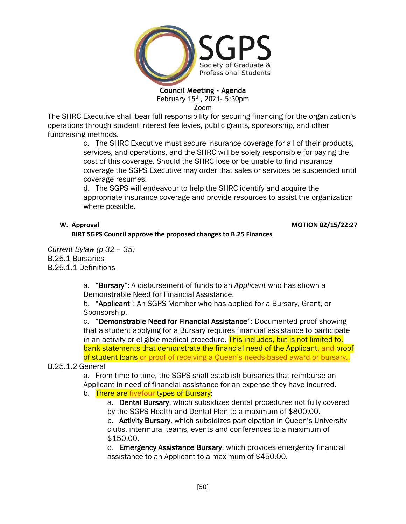

Zoom

The SHRC Executive shall bear full responsibility for securing financing for the organization's operations through student interest fee levies, public grants, sponsorship, and other fundraising methods.

> c. The SHRC Executive must secure insurance coverage for all of their products, services, and operations, and the SHRC will be solely responsible for paying the cost of this coverage. Should the SHRC lose or be unable to find insurance coverage the SGPS Executive may order that sales or services be suspended until coverage resumes.

d. The SGPS will endeavour to help the SHRC identify and acquire the appropriate insurance coverage and provide resources to assist the organization where possible.

#### **W.** Approval **MOTION 02/15/22:27**

**BIRT SGPS Council approve the proposed changes to B.25 Finances**

*Current Bylaw (p 32 – 35)* B.25.1 Bursaries B.25.1.1 Definitions

> a. "Bursary": A disbursement of funds to an *Applicant* who has shown a Demonstrable Need for Financial Assistance.

b. "Applicant": An SGPS Member who has applied for a Bursary, Grant, or Sponsorship.

c. "Demonstrable Need for Financial Assistance": Documented proof showing that a student applying for a Bursary requires financial assistance to participate in an activity or eligible medical procedure. This includes, but is not limited to, bank statements that demonstrate the financial need of the Applicant, and proof of student loans or proof of receiving a Queen's needs-based award or bursary.

## B.25.1.2 General

a. From time to time, the SGPS shall establish bursaries that reimburse an Applicant in need of financial assistance for an expense they have incurred. b. There are fivefour types of Bursary:

a. Dental Bursary, which subsidizes dental procedures not fully covered by the SGPS Health and Dental Plan to a maximum of \$800.00.

b. Activity Bursary, which subsidizes participation in Queen's University clubs, intermural teams, events and conferences to a maximum of \$150.00.

c. Emergency Assistance Bursary, which provides emergency financial assistance to an Applicant to a maximum of \$450.00.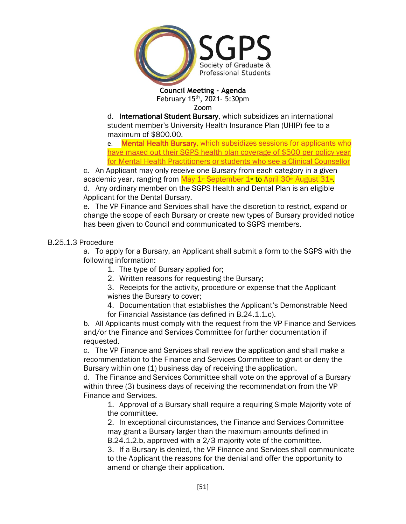

d. International Student Bursary, which subsidizes an international student member's University Health Insurance Plan (UHIP) fee to a maximum of \$800.00.

e. Mental Health Bursary, which subsidizes sessions for applicants who have maxed out their SGPS health plan coverage of \$500 per policy year for Mental Health Practitioners or students who see a Clinical Counsellor

c. An Applicant may only receive one Bursary from each category in a given academic year, ranging from <u>May 1st September 1st to April 30th August 31st.</u>

d. Any ordinary member on the SGPS Health and Dental Plan is an eligible Applicant for the Dental Bursary.

e. The VP Finance and Services shall have the discretion to restrict, expand or change the scope of each Bursary or create new types of Bursary provided notice has been given to Council and communicated to SGPS members.

## B.25.1.3 Procedure

a. To apply for a Bursary, an Applicant shall submit a form to the SGPS with the following information:

- 1. The type of Bursary applied for;
- 2. Written reasons for requesting the Bursary;
- 3. Receipts for the activity, procedure or expense that the Applicant wishes the Bursary to cover;
- 4. Documentation that establishes the Applicant's Demonstrable Need for Financial Assistance (as defined in B.24.1.1.c).

b. All Applicants must comply with the request from the VP Finance and Services and/or the Finance and Services Committee for further documentation if requested.

c. The VP Finance and Services shall review the application and shall make a recommendation to the Finance and Services Committee to grant or deny the Bursary within one (1) business day of receiving the application.

d. The Finance and Services Committee shall vote on the approval of a Bursary within three (3) business days of receiving the recommendation from the VP Finance and Services.

1. Approval of a Bursary shall require a requiring Simple Majority vote of the committee.

2. In exceptional circumstances, the Finance and Services Committee may grant a Bursary larger than the maximum amounts defined in B.24.1.2.b, approved with a 2/3 majority vote of the committee.

3. If a Bursary is denied, the VP Finance and Services shall communicate to the Applicant the reasons for the denial and offer the opportunity to amend or change their application.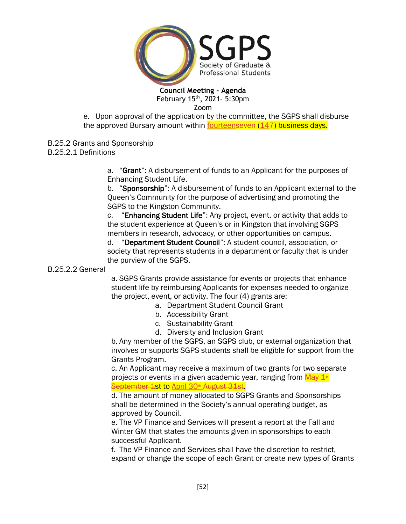

e. Upon approval of the application by the committee, the SGPS shall disburse the approved Bursary amount within **fourteenseven** (147) business days.

B.25.2 Grants and Sponsorship

B.25.2.1 Definitions

a. "Grant": A disbursement of funds to an Applicant for the purposes of Enhancing Student Life.

b. "Sponsorship": A disbursement of funds to an Applicant external to the Queen's Community for the purpose of advertising and promoting the SGPS to the Kingston Community.

c. "Enhancing Student Life": Any project, event, or activity that adds to the student experience at Queen's or in Kingston that involving SGPS members in research, advocacy, or other opportunities on campus.

d. "Department Student Council": A student council, association, or society that represents students in a department or faculty that is under the purview of the SGPS.

B.25.2.2 General

a. SGPS Grants provide assistance for events or projects that enhance student life by reimbursing Applicants for expenses needed to organize the project, event, or activity. The four (4) grants are:

- a. Department Student Council Grant
- b. Accessibility Grant
- c. Sustainability Grant
- d. Diversity and Inclusion Grant

b. Any member of the SGPS, an SGPS club, or external organization that involves or supports SGPS students shall be eligible for support from the Grants Program.

c. An Applicant may receive a maximum of two grants for two separate projects or events in a given academic year, ranging from  $\frac{\text{May } 1 \text{st}}{2}$ September 1st to April 30<sup>th</sup> August 31st.

d. The amount of money allocated to SGPS Grants and Sponsorships shall be determined in the Society's annual operating budget, as approved by Council.

e. The VP Finance and Services will present a report at the Fall and Winter GM that states the amounts given in sponsorships to each successful Applicant.

f. The VP Finance and Services shall have the discretion to restrict, expand or change the scope of each Grant or create new types of Grants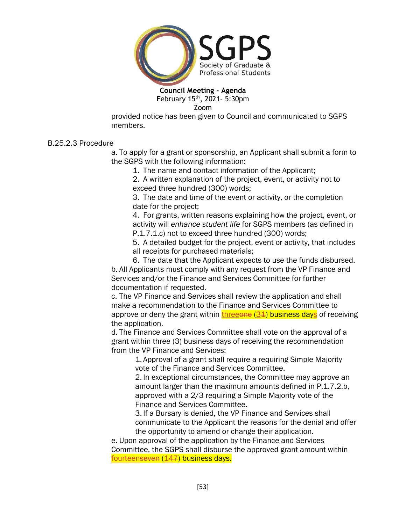

Zoom

provided notice has been given to Council and communicated to SGPS members.

#### B.25.2.3 Procedure

a. To apply for a grant or sponsorship, an Applicant shall submit a form to the SGPS with the following information:

1. The name and contact information of the Applicant;

2. A written explanation of the project, event, or activity not to exceed three hundred (300) words;

3. The date and time of the event or activity, or the completion date for the project;

4. For grants, written reasons explaining how the project, event, or activity will *enhance student life* for SGPS members (as defined in P.1.7.1.c) not to exceed three hundred (300) words;

5. A detailed budget for the project, event or activity, that includes all receipts for purchased materials;

6. The date that the Applicant expects to use the funds disbursed. b. All Applicants must comply with any request from the VP Finance and Services and/or the Finance and Services Committee for further documentation if requested.

c. The VP Finance and Services shall review the application and shall make a recommendation to the Finance and Services Committee to approve or deny the grant within  $three$   $(34)$  business days</u> of receiving the application.

d. The Finance and Services Committee shall vote on the approval of a grant within three (3) business days of receiving the recommendation from the VP Finance and Services:

1. Approval of a grant shall require a requiring Simple Majority vote of the Finance and Services Committee.

2. In exceptional circumstances, the Committee may approve an amount larger than the maximum amounts defined in P.1.7.2.b, approved with a 2/3 requiring a Simple Majority vote of the Finance and Services Committee.

3. If a Bursary is denied, the VP Finance and Services shall communicate to the Applicant the reasons for the denial and offer the opportunity to amend or change their application.

e. Upon approval of the application by the Finance and Services Committee, the SGPS shall disburse the approved grant amount within fourteenseven (147) business days.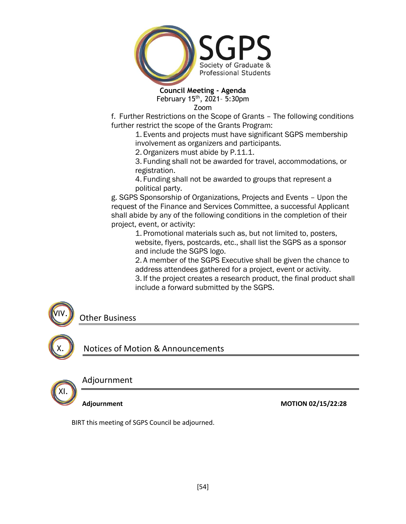

f. Further Restrictions on the Scope of Grants – The following conditions further restrict the scope of the Grants Program:

1. Events and projects must have significant SGPS membership involvement as organizers and participants.

2. Organizers must abide by P.11.1.

3. Funding shall not be awarded for travel, accommodations, or registration.

4. Funding shall not be awarded to groups that represent a political party.

g. SGPS Sponsorship of Organizations, Projects and Events – Upon the request of the Finance and Services Committee, a successful Applicant shall abide by any of the following conditions in the completion of their project, event, or activity:

> 1. Promotional materials such as, but not limited to, posters, website, flyers, postcards, etc., shall list the SGPS as a sponsor and include the SGPS logo.

2. A member of the SGPS Executive shall be given the chance to address attendees gathered for a project, event or activity.

3. If the project creates a research product, the final product shall include a forward submitted by the SGPS.

# Other Business



VIV.

# Notices of Motion & Announcements



## Adjournment

Adjournment **MOTION 02/15/22:28** 

BIRT this meeting of SGPS Council be adjourned.